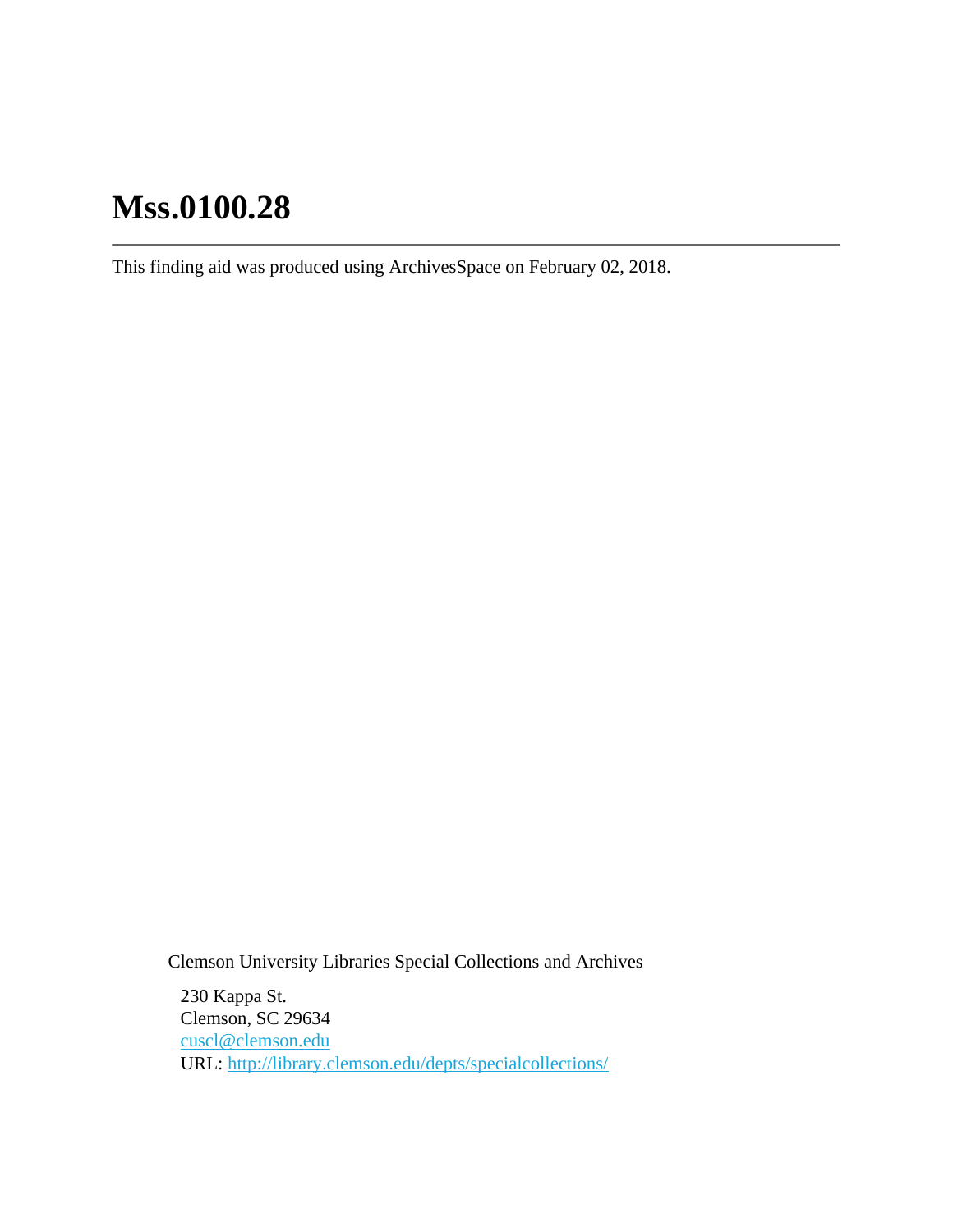# **Mss.0100.28**

This finding aid was produced using ArchivesSpace on February 02, 2018.

Clemson University Libraries Special Collections and Archives

230 Kappa St. Clemson, SC 29634 [cuscl@clemson.edu](mailto:cuscl@clemson.edu) URL:<http://library.clemson.edu/depts/specialcollections/>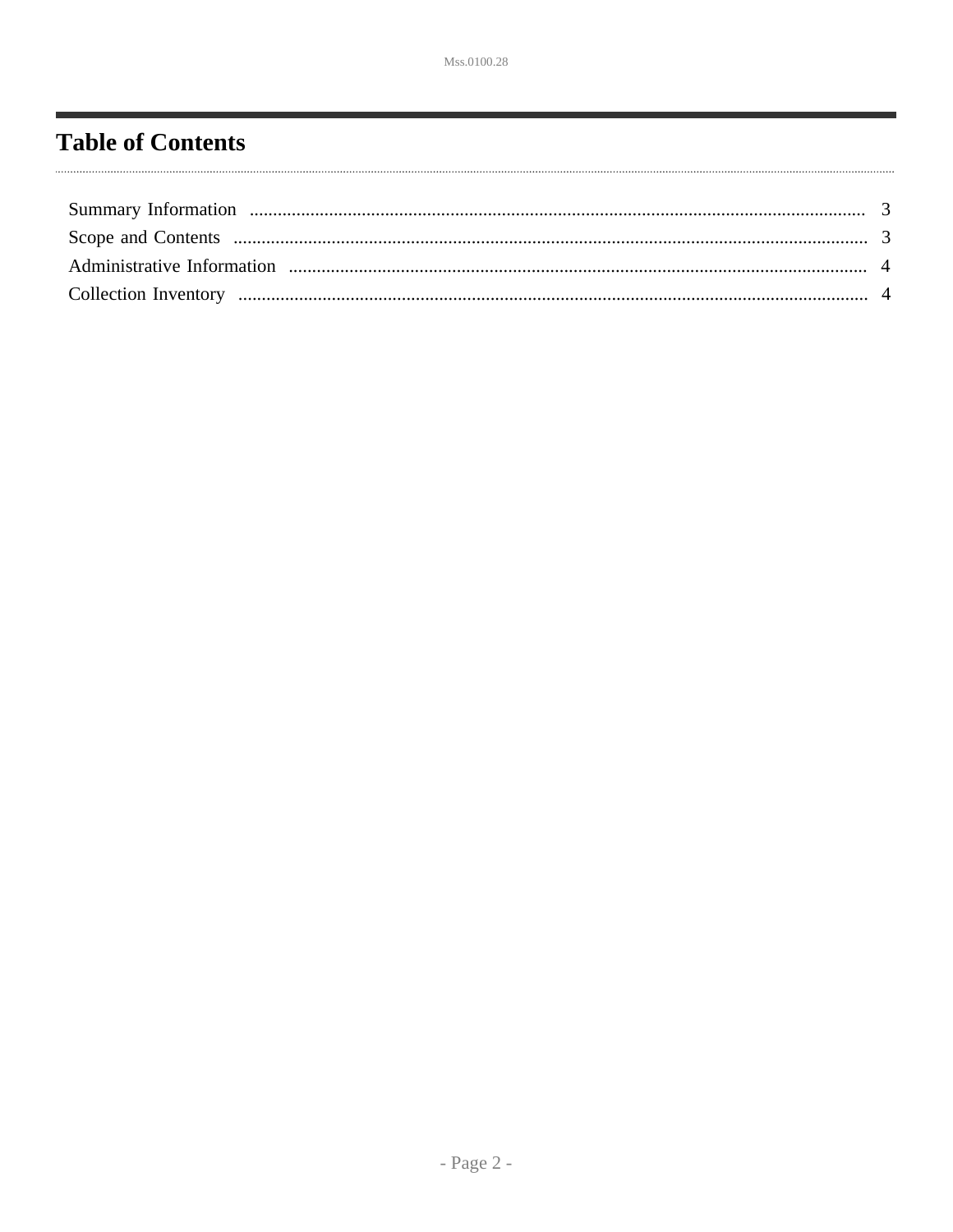## <span id="page-1-0"></span>**Table of Contents**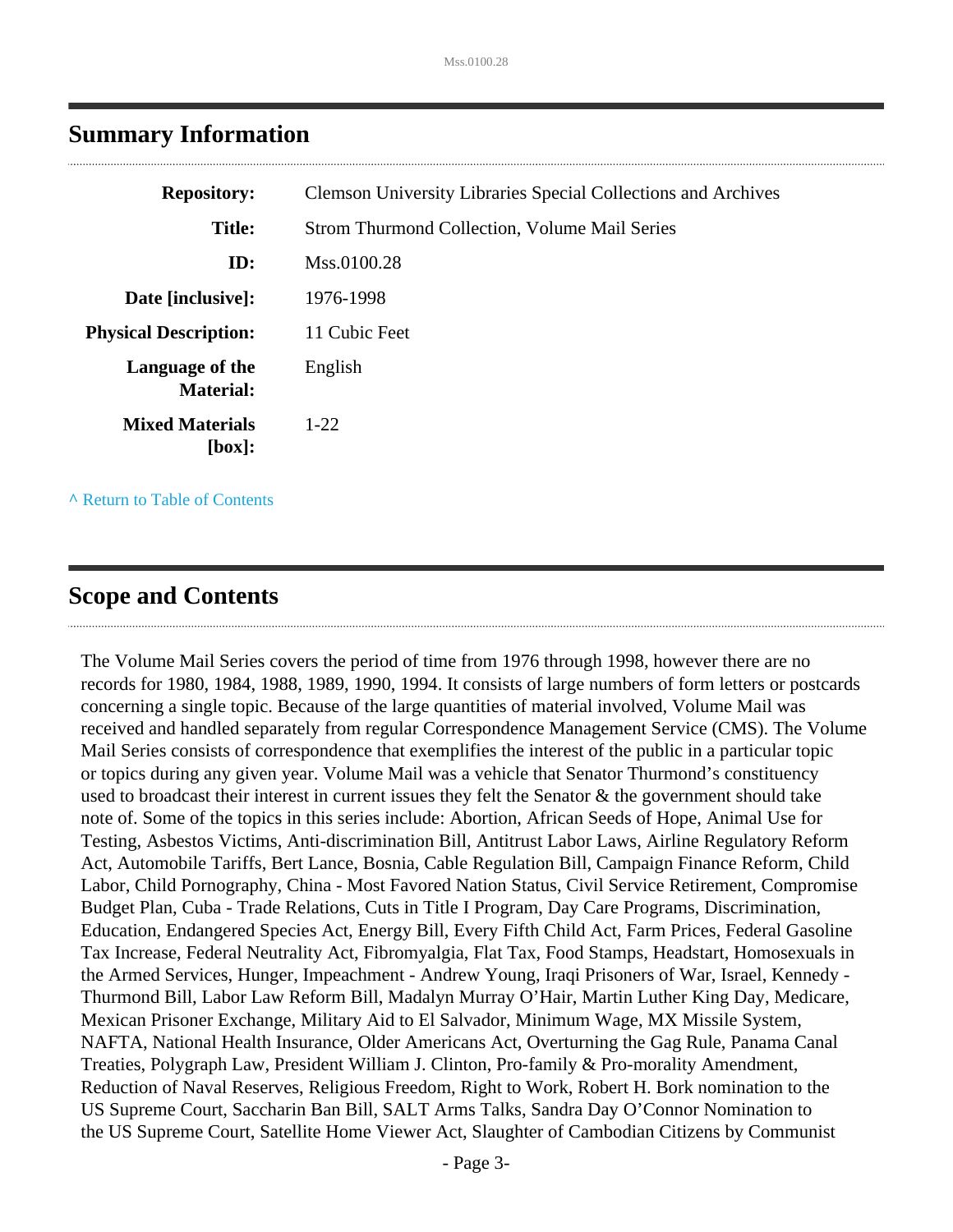| <b>Clemson University Libraries Special Collections and Archives</b> |
|----------------------------------------------------------------------|
| <b>Strom Thurmond Collection, Volume Mail Series</b>                 |
| Mss.0100.28                                                          |
| 1976-1998                                                            |
| 11 Cubic Feet                                                        |
| English                                                              |
| $1-22$                                                               |
|                                                                      |

## <span id="page-2-0"></span>**Summary Information**

**^** [Return to Table of Contents](#page-1-0)

## <span id="page-2-1"></span>**Scope and Contents**

The Volume Mail Series covers the period of time from 1976 through 1998, however there are no records for 1980, 1984, 1988, 1989, 1990, 1994. It consists of large numbers of form letters or postcards concerning a single topic. Because of the large quantities of material involved, Volume Mail was received and handled separately from regular Correspondence Management Service (CMS). The Volume Mail Series consists of correspondence that exemplifies the interest of the public in a particular topic or topics during any given year. Volume Mail was a vehicle that Senator Thurmond's constituency used to broadcast their interest in current issues they felt the Senator & the government should take note of. Some of the topics in this series include: Abortion, African Seeds of Hope, Animal Use for Testing, Asbestos Victims, Anti-discrimination Bill, Antitrust Labor Laws, Airline Regulatory Reform Act, Automobile Tariffs, Bert Lance, Bosnia, Cable Regulation Bill, Campaign Finance Reform, Child Labor, Child Pornography, China - Most Favored Nation Status, Civil Service Retirement, Compromise Budget Plan, Cuba - Trade Relations, Cuts in Title I Program, Day Care Programs, Discrimination, Education, Endangered Species Act, Energy Bill, Every Fifth Child Act, Farm Prices, Federal Gasoline Tax Increase, Federal Neutrality Act, Fibromyalgia, Flat Tax, Food Stamps, Headstart, Homosexuals in the Armed Services, Hunger, Impeachment - Andrew Young, Iraqi Prisoners of War, Israel, Kennedy - Thurmond Bill, Labor Law Reform Bill, Madalyn Murray O'Hair, Martin Luther King Day, Medicare, Mexican Prisoner Exchange, Military Aid to El Salvador, Minimum Wage, MX Missile System, NAFTA, National Health Insurance, Older Americans Act, Overturning the Gag Rule, Panama Canal Treaties, Polygraph Law, President William J. Clinton, Pro-family & Pro-morality Amendment, Reduction of Naval Reserves, Religious Freedom, Right to Work, Robert H. Bork nomination to the US Supreme Court, Saccharin Ban Bill, SALT Arms Talks, Sandra Day O'Connor Nomination to the US Supreme Court, Satellite Home Viewer Act, Slaughter of Cambodian Citizens by Communist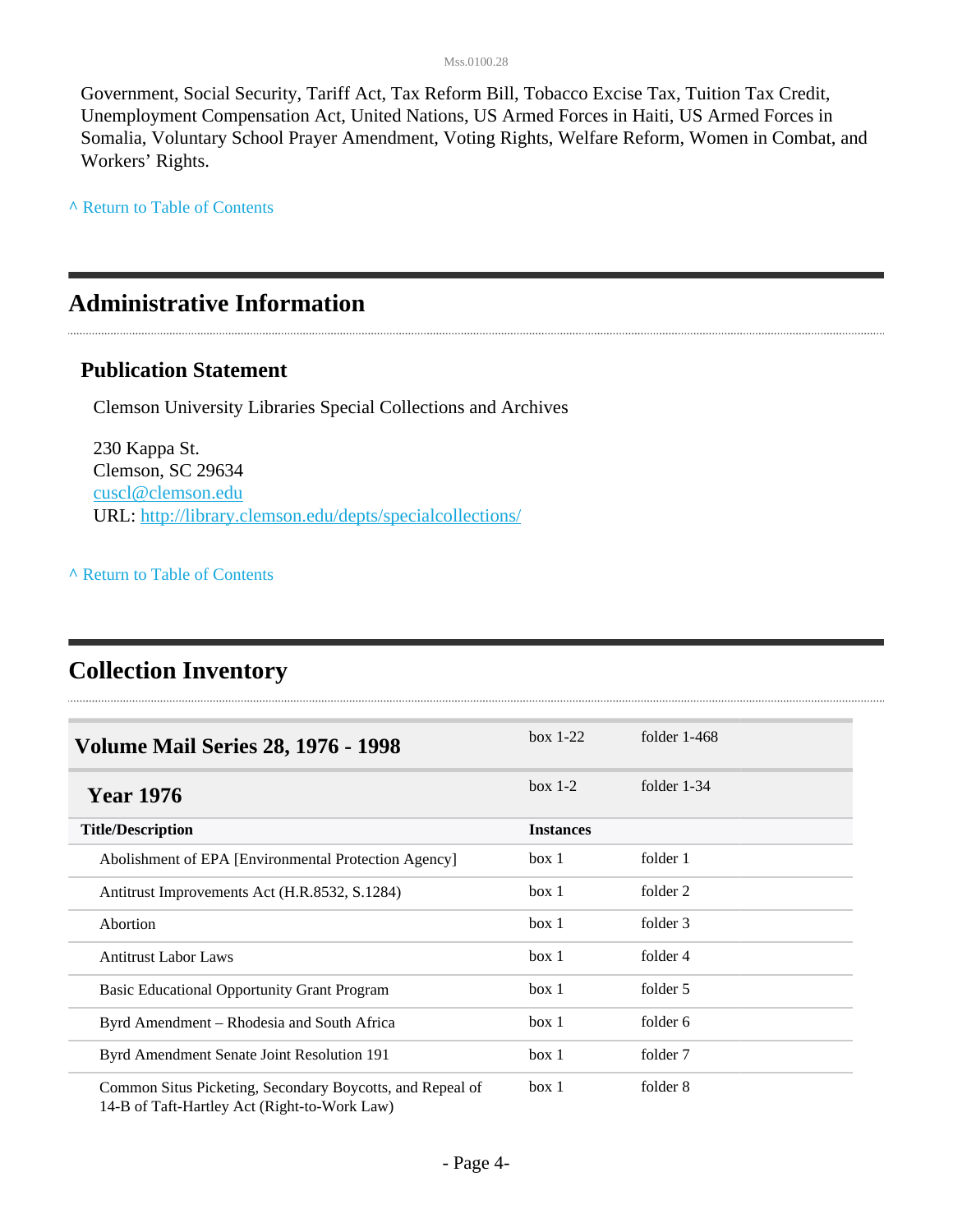#### Mss.0100.28

Government, Social Security, Tariff Act, Tax Reform Bill, Tobacco Excise Tax, Tuition Tax Credit, Unemployment Compensation Act, United Nations, US Armed Forces in Haiti, US Armed Forces in Somalia, Voluntary School Prayer Amendment, Voting Rights, Welfare Reform, Women in Combat, and Workers' Rights.

**^** [Return to Table of Contents](#page-1-0)

## <span id="page-3-0"></span>**Administrative Information**

### **Publication Statement**

Clemson University Libraries Special Collections and Archives

230 Kappa St. Clemson, SC 29634 [cuscl@clemson.edu](mailto:cuscl@clemson.edu) URL:<http://library.clemson.edu/depts/specialcollections/>

### **^** [Return to Table of Contents](#page-1-0)

## <span id="page-3-1"></span>**Collection Inventory**

| <b>Volume Mail Series 28, 1976 - 1998</b>                                                                 | $box 1-22$       | folder $1-468$ |
|-----------------------------------------------------------------------------------------------------------|------------------|----------------|
| <b>Year 1976</b>                                                                                          | $box 1-2$        | folder $1-34$  |
| <b>Title/Description</b>                                                                                  | <b>Instances</b> |                |
| Abolishment of EPA [Environmental Protection Agency]                                                      | box 1            | folder 1       |
| Antitrust Improvements Act (H.R.8532, S.1284)                                                             | box 1            | folder 2       |
| Abortion                                                                                                  | box 1            | folder 3       |
| <b>Antitrust Labor Laws</b>                                                                               | box 1            | folder 4       |
| <b>Basic Educational Opportunity Grant Program</b>                                                        | box 1            | folder 5       |
| Byrd Amendment – Rhodesia and South Africa                                                                | box 1            | folder 6       |
| Byrd Amendment Senate Joint Resolution 191                                                                | box 1            | folder 7       |
| Common Situs Picketing, Secondary Boycotts, and Repeal of<br>14-B of Taft-Hartley Act (Right-to-Work Law) | box 1            | folder 8       |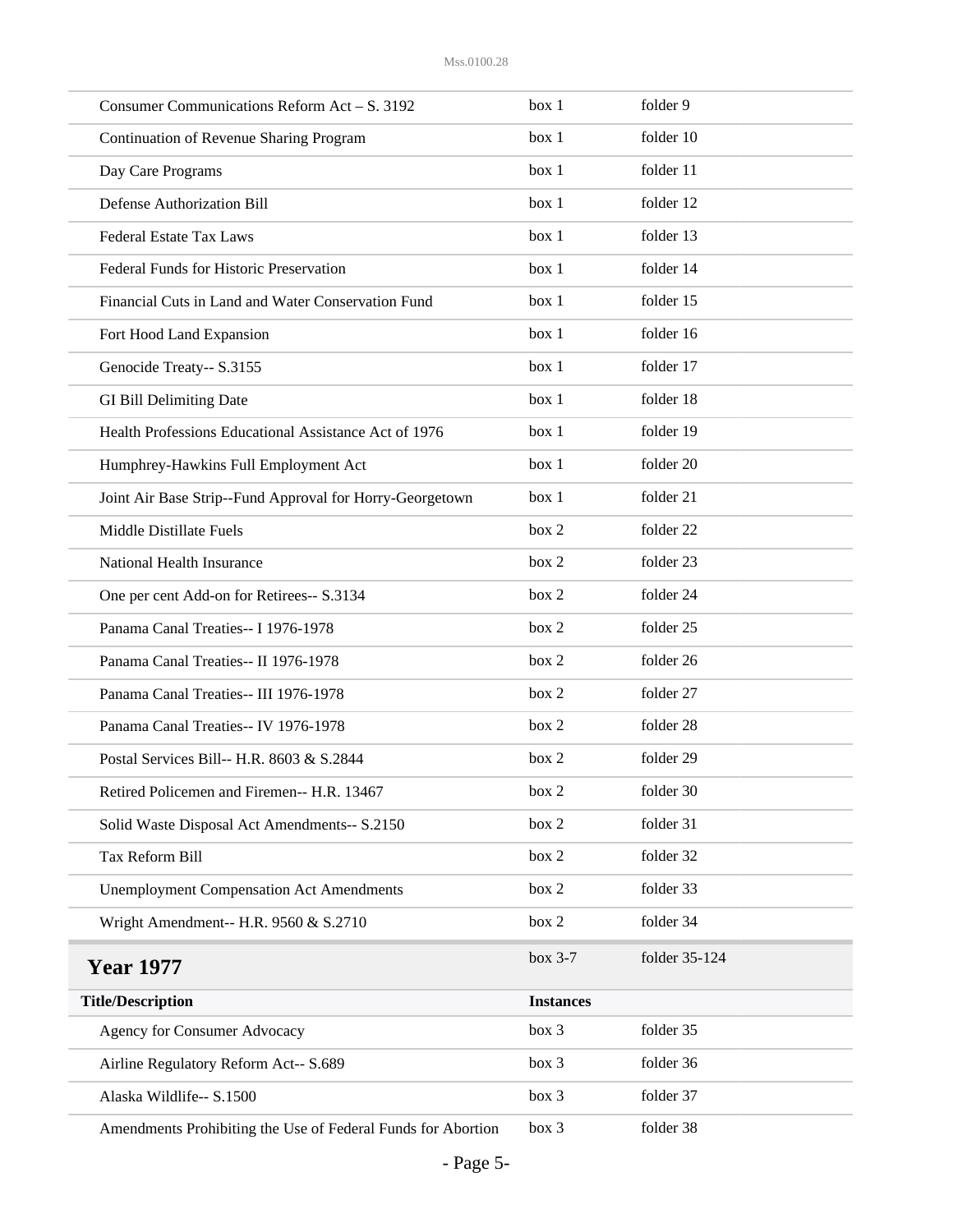| Consumer Communications Reform Act - S. 3192                 | box 1            | folder 9      |
|--------------------------------------------------------------|------------------|---------------|
| Continuation of Revenue Sharing Program                      | box 1            | folder 10     |
| Day Care Programs                                            | box 1            | folder 11     |
| <b>Defense Authorization Bill</b>                            | box 1            | folder 12     |
| <b>Federal Estate Tax Laws</b>                               | box 1            | folder 13     |
| Federal Funds for Historic Preservation                      | box 1            | folder 14     |
| Financial Cuts in Land and Water Conservation Fund           | box 1            | folder 15     |
| Fort Hood Land Expansion                                     | box 1            | folder 16     |
| Genocide Treaty-- S.3155                                     | box 1            | folder 17     |
| <b>GI Bill Delimiting Date</b>                               | box 1            | folder 18     |
| Health Professions Educational Assistance Act of 1976        | box 1            | folder 19     |
| Humphrey-Hawkins Full Employment Act                         | box 1            | folder 20     |
| Joint Air Base Strip--Fund Approval for Horry-Georgetown     | box 1            | folder 21     |
| Middle Distillate Fuels                                      | box 2            | folder 22     |
| National Health Insurance                                    | box 2            | folder 23     |
| One per cent Add-on for Retirees-- S.3134                    | box 2            | folder 24     |
| Panama Canal Treaties-- I 1976-1978                          | box 2            | folder 25     |
| Panama Canal Treaties-- II 1976-1978                         | box 2            | folder 26     |
| Panama Canal Treaties-- III 1976-1978                        | box 2            | folder 27     |
| Panama Canal Treaties-- IV 1976-1978                         | box 2            | folder 28     |
| Postal Services Bill-- H.R. 8603 & S.2844                    | box 2            | folder 29     |
| Retired Policemen and Firemen-- H.R. 13467                   | box 2            | folder 30     |
| Solid Waste Disposal Act Amendments-- S.2150                 | box 2            | folder 31     |
| Tax Reform Bill                                              | box 2            | folder 32     |
| <b>Unemployment Compensation Act Amendments</b>              | box 2            | folder 33     |
| Wright Amendment-- H.R. 9560 & S.2710                        | box 2            | folder 34     |
| <b>Year 1977</b>                                             | box 3-7          | folder 35-124 |
| <b>Title/Description</b>                                     | <b>Instances</b> |               |
| Agency for Consumer Advocacy                                 | box 3            | folder 35     |
| Airline Regulatory Reform Act-- S.689                        | box 3            | folder 36     |
| Alaska Wildlife-- S.1500                                     | box 3            | folder 37     |
| Amendments Prohibiting the Use of Federal Funds for Abortion | box 3            | folder 38     |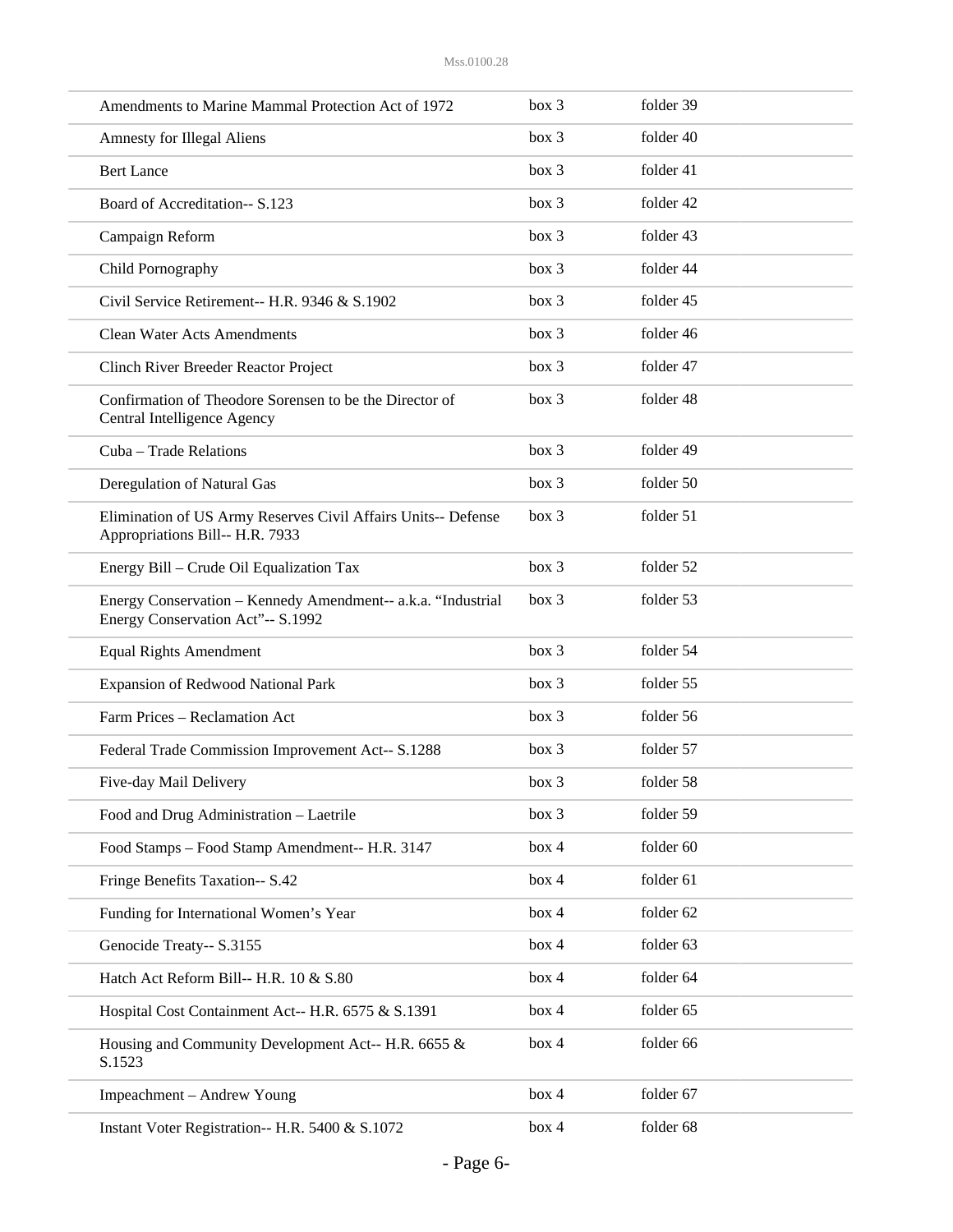| Amendments to Marine Mammal Protection Act of 1972                                                | box 3 | folder 39 |
|---------------------------------------------------------------------------------------------------|-------|-----------|
| <b>Amnesty for Illegal Aliens</b>                                                                 | box 3 | folder 40 |
| <b>Bert Lance</b>                                                                                 | box 3 | folder 41 |
| Board of Accreditation-- S.123                                                                    | box 3 | folder 42 |
| Campaign Reform                                                                                   | box 3 | folder 43 |
| Child Pornography                                                                                 | box 3 | folder 44 |
| Civil Service Retirement-- H.R. 9346 & S.1902                                                     | box 3 | folder 45 |
| <b>Clean Water Acts Amendments</b>                                                                | box 3 | folder 46 |
| Clinch River Breeder Reactor Project                                                              | box 3 | folder 47 |
| Confirmation of Theodore Sorensen to be the Director of<br>Central Intelligence Agency            | box 3 | folder 48 |
| Cuba - Trade Relations                                                                            | box 3 | folder 49 |
| Deregulation of Natural Gas                                                                       | box 3 | folder 50 |
| Elimination of US Army Reserves Civil Affairs Units-- Defense<br>Appropriations Bill-- H.R. 7933  | box 3 | folder 51 |
| Energy Bill – Crude Oil Equalization Tax                                                          | box 3 | folder 52 |
| Energy Conservation - Kennedy Amendment-- a.k.a. "Industrial<br>Energy Conservation Act"-- S.1992 | box 3 | folder 53 |
| <b>Equal Rights Amendment</b>                                                                     | box 3 | folder 54 |
| <b>Expansion of Redwood National Park</b>                                                         | box 3 | folder 55 |
| Farm Prices - Reclamation Act                                                                     | box 3 | folder 56 |
| Federal Trade Commission Improvement Act-- S.1288                                                 | box 3 | folder 57 |
| Five-day Mail Delivery                                                                            | box 3 | folder 58 |
| Food and Drug Administration - Laetrile                                                           | box 3 | folder 59 |
| Food Stamps - Food Stamp Amendment-- H.R. 3147                                                    | box 4 | folder 60 |
| Fringe Benefits Taxation-- S.42                                                                   | box 4 | folder 61 |
| Funding for International Women's Year                                                            | box 4 | folder 62 |
| Genocide Treaty-- S.3155                                                                          | box 4 | folder 63 |
| Hatch Act Reform Bill-- H.R. 10 & S.80                                                            | box 4 | folder 64 |
| Hospital Cost Containment Act-- H.R. 6575 & S.1391                                                | box 4 | folder 65 |
| Housing and Community Development Act-- H.R. 6655 &<br>S.1523                                     | box 4 | folder 66 |
| Impeachment - Andrew Young                                                                        | box 4 | folder 67 |
| Instant Voter Registration-- H.R. 5400 & S.1072                                                   | box 4 | folder 68 |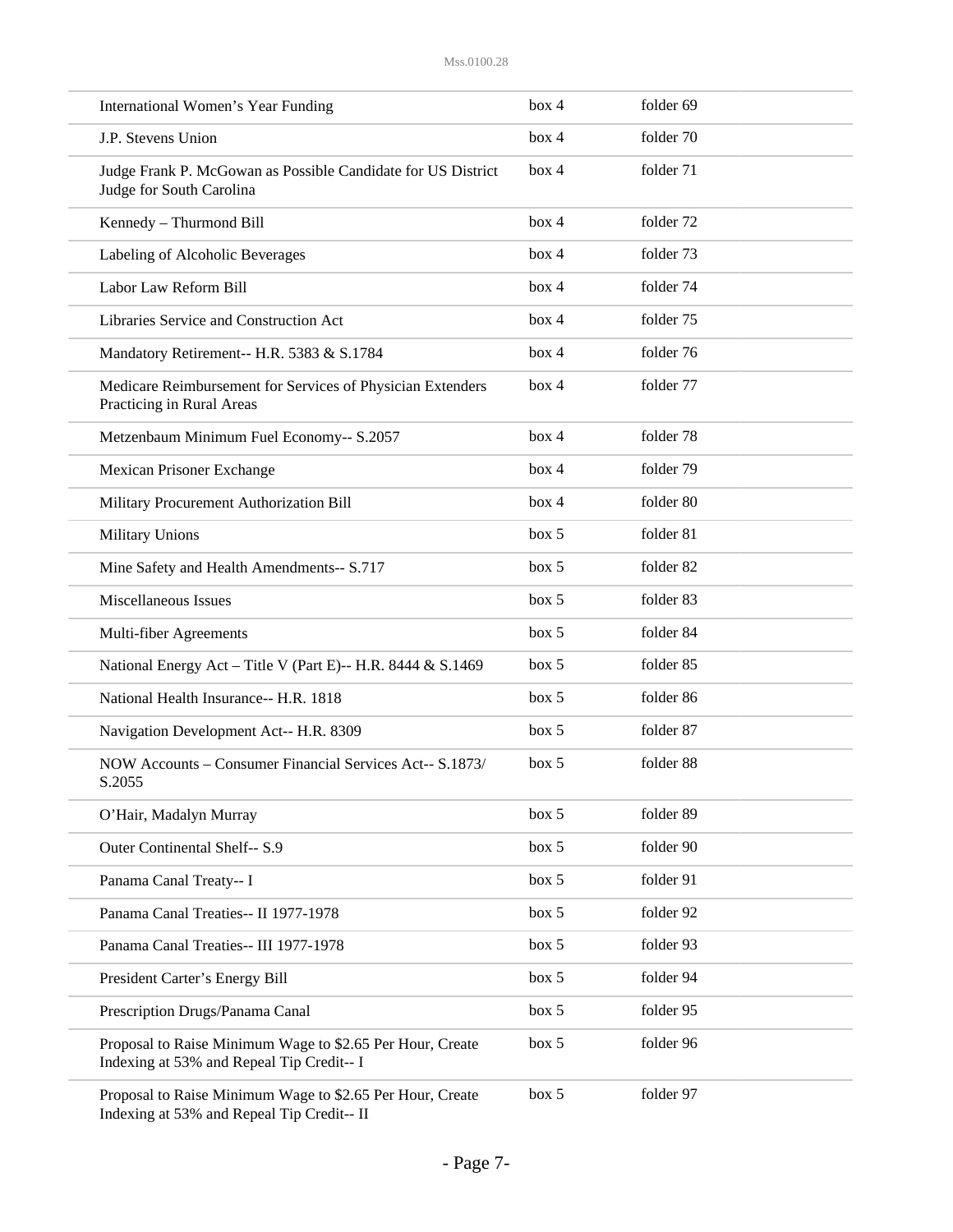| International Women's Year Funding                                                                      | box 4 | folder 69 |  |
|---------------------------------------------------------------------------------------------------------|-------|-----------|--|
| J.P. Stevens Union                                                                                      | box 4 | folder 70 |  |
| Judge Frank P. McGowan as Possible Candidate for US District<br>Judge for South Carolina                | box 4 | folder 71 |  |
| Kennedy - Thurmond Bill                                                                                 | box 4 | folder 72 |  |
| Labeling of Alcoholic Beverages                                                                         | box 4 | folder 73 |  |
| Labor Law Reform Bill                                                                                   | box 4 | folder 74 |  |
| Libraries Service and Construction Act                                                                  | box 4 | folder 75 |  |
| Mandatory Retirement-- H.R. 5383 & S.1784                                                               | box 4 | folder 76 |  |
| Medicare Reimbursement for Services of Physician Extenders<br>Practicing in Rural Areas                 | box 4 | folder 77 |  |
| Metzenbaum Minimum Fuel Economy-- S.2057                                                                | box 4 | folder 78 |  |
| Mexican Prisoner Exchange                                                                               | box 4 | folder 79 |  |
| Military Procurement Authorization Bill                                                                 | box 4 | folder 80 |  |
| <b>Military Unions</b>                                                                                  | box 5 | folder 81 |  |
| Mine Safety and Health Amendments-- S.717                                                               | box~5 | folder 82 |  |
| Miscellaneous Issues                                                                                    | box 5 | folder 83 |  |
| Multi-fiber Agreements                                                                                  | box 5 | folder 84 |  |
| National Energy Act - Title V (Part E)-- H.R. 8444 & S.1469                                             | box 5 | folder 85 |  |
| National Health Insurance-- H.R. 1818                                                                   | box~5 | folder 86 |  |
| Navigation Development Act-- H.R. 8309                                                                  | box 5 | folder 87 |  |
| NOW Accounts - Consumer Financial Services Act-- S.1873/<br>S.2055                                      | box 5 | folder 88 |  |
| O'Hair, Madalyn Murray                                                                                  | box 5 | folder 89 |  |
| Outer Continental Shelf-- S.9                                                                           | box 5 | folder 90 |  |
| Panama Canal Treaty-- I                                                                                 | box 5 | folder 91 |  |
| Panama Canal Treaties-- II 1977-1978                                                                    | box 5 | folder 92 |  |
| Panama Canal Treaties-- III 1977-1978                                                                   | box 5 | folder 93 |  |
| President Carter's Energy Bill                                                                          | box 5 | folder 94 |  |
| Prescription Drugs/Panama Canal                                                                         | box 5 | folder 95 |  |
| Proposal to Raise Minimum Wage to \$2.65 Per Hour, Create<br>Indexing at 53% and Repeal Tip Credit-- I  | box 5 | folder 96 |  |
| Proposal to Raise Minimum Wage to \$2.65 Per Hour, Create<br>Indexing at 53% and Repeal Tip Credit-- II | box 5 | folder 97 |  |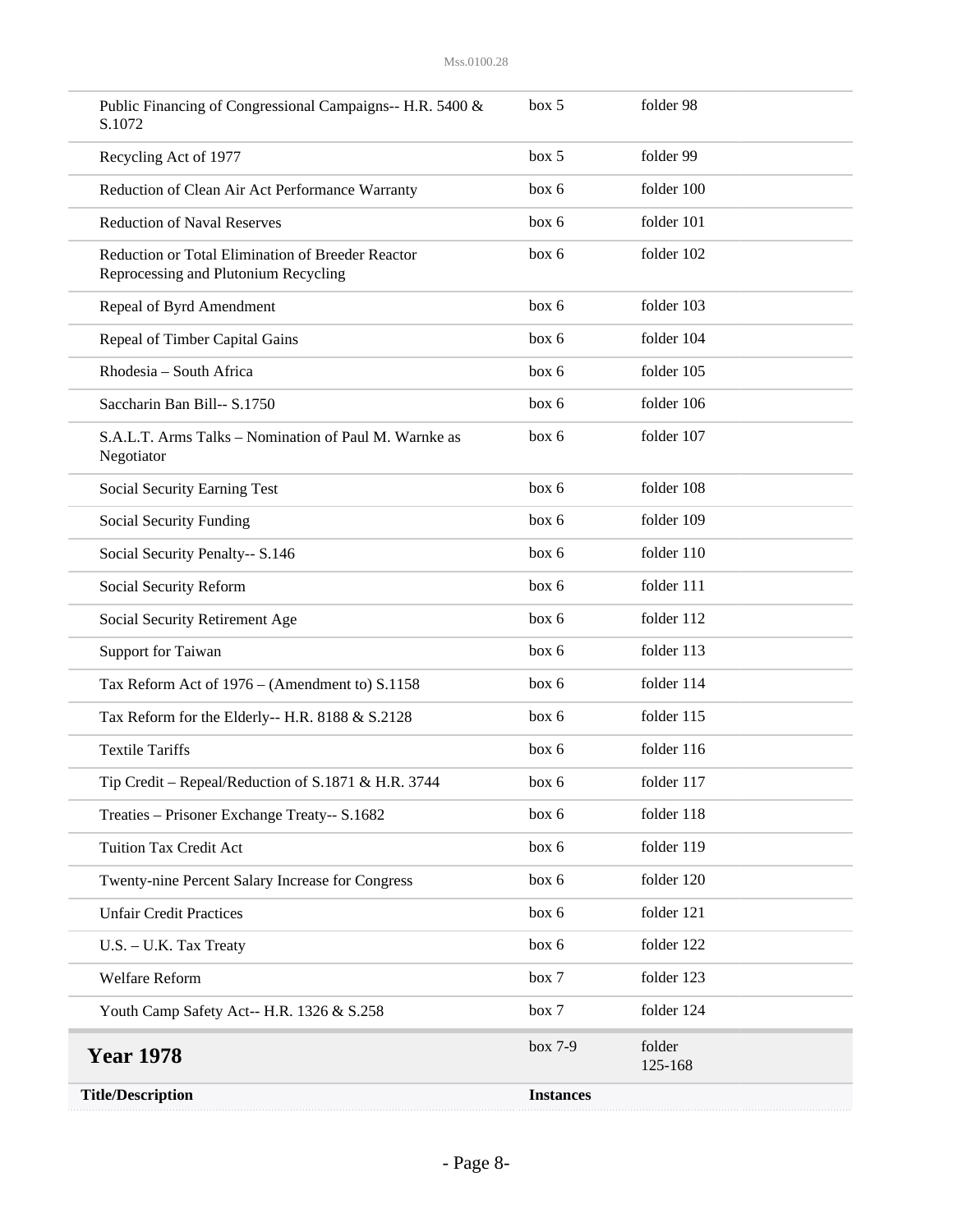| <b>Title/Description</b>                                                                  | <b>Instances</b> |                   |
|-------------------------------------------------------------------------------------------|------------------|-------------------|
| <b>Year 1978</b>                                                                          | box 7-9          | folder<br>125-168 |
| Youth Camp Safety Act-- H.R. 1326 & S.258                                                 | box 7            | folder 124        |
| Welfare Reform                                                                            | box 7            | folder 123        |
| U.S. - U.K. Tax Treaty                                                                    | box 6            | folder 122        |
| <b>Unfair Credit Practices</b>                                                            | box 6            | folder 121        |
| Twenty-nine Percent Salary Increase for Congress                                          | box 6            | folder 120        |
| <b>Tuition Tax Credit Act</b>                                                             | box 6            | folder 119        |
| Treaties - Prisoner Exchange Treaty-- S.1682                                              | box 6            | folder 118        |
| Tip Credit – Repeal/Reduction of S.1871 & H.R. 3744                                       | box 6            | folder 117        |
| <b>Textile Tariffs</b>                                                                    | box 6            | folder 116        |
| Tax Reform for the Elderly-- H.R. 8188 & S.2128                                           | box 6            | folder 115        |
| Tax Reform Act of 1976 - (Amendment to) S.1158                                            | box 6            | folder 114        |
| Support for Taiwan                                                                        | box 6            | folder 113        |
| Social Security Retirement Age                                                            | box 6            | folder 112        |
| Social Security Reform                                                                    | box 6            | folder 111        |
| Social Security Penalty-- S.146                                                           | box 6            | folder 110        |
| Social Security Funding                                                                   | box 6            | folder 109        |
| Social Security Earning Test                                                              | box 6            | folder 108        |
| S.A.L.T. Arms Talks - Nomination of Paul M. Warnke as<br>Negotiator                       | box 6            | folder 107        |
| Saccharin Ban Bill-- S.1750                                                               | box 6            | folder 106        |
| Rhodesia – South Africa                                                                   | box 6            | folder 105        |
| Repeal of Timber Capital Gains                                                            | box 6            | folder 104        |
| Repeal of Byrd Amendment                                                                  | box 6            | folder 103        |
| Reduction or Total Elimination of Breeder Reactor<br>Reprocessing and Plutonium Recycling | box 6            | folder 102        |
| <b>Reduction of Naval Reserves</b>                                                        | box 6            | folder 101        |
| Reduction of Clean Air Act Performance Warranty                                           | box 6            | folder 100        |
| Recycling Act of 1977                                                                     | box 5            | folder 99         |
| Public Financing of Congressional Campaigns-- H.R. 5400 &<br>S.1072                       | box 5            | folder 98         |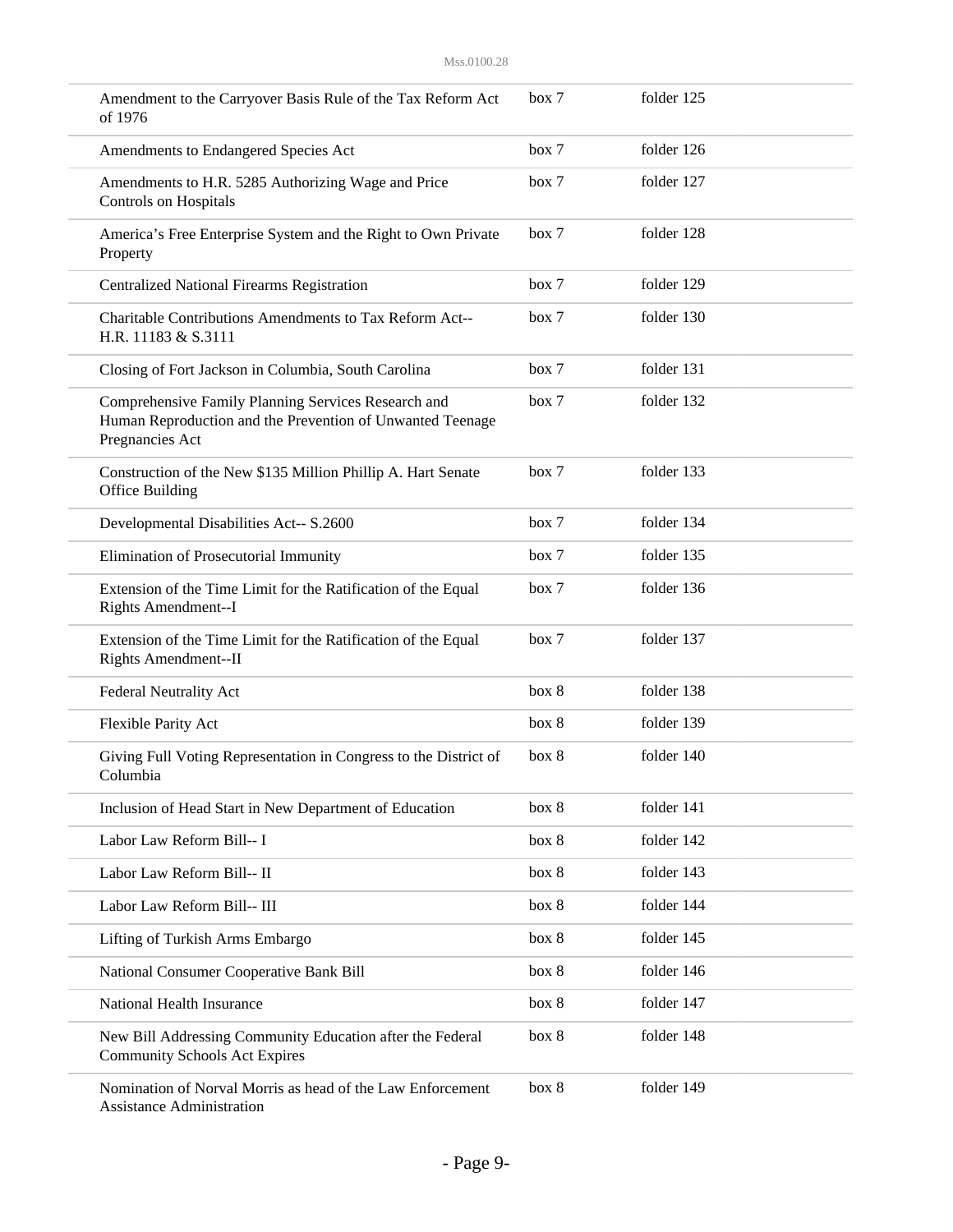| Amendment to the Carryover Basis Rule of the Tax Reform Act<br>of 1976                                                              | box 7 | folder 125 |  |
|-------------------------------------------------------------------------------------------------------------------------------------|-------|------------|--|
| Amendments to Endangered Species Act                                                                                                | box 7 | folder 126 |  |
| Amendments to H.R. 5285 Authorizing Wage and Price<br><b>Controls on Hospitals</b>                                                  | box 7 | folder 127 |  |
| America's Free Enterprise System and the Right to Own Private<br>Property                                                           | box 7 | folder 128 |  |
| <b>Centralized National Firearms Registration</b>                                                                                   | box 7 | folder 129 |  |
| Charitable Contributions Amendments to Tax Reform Act--<br>H.R. 11183 & S.3111                                                      | box 7 | folder 130 |  |
| Closing of Fort Jackson in Columbia, South Carolina                                                                                 | box 7 | folder 131 |  |
| Comprehensive Family Planning Services Research and<br>Human Reproduction and the Prevention of Unwanted Teenage<br>Pregnancies Act | box 7 | folder 132 |  |
| Construction of the New \$135 Million Phillip A. Hart Senate<br>Office Building                                                     | box 7 | folder 133 |  |
| Developmental Disabilities Act-- S.2600                                                                                             | box 7 | folder 134 |  |
| Elimination of Prosecutorial Immunity                                                                                               | box 7 | folder 135 |  |
| Extension of the Time Limit for the Ratification of the Equal<br>Rights Amendment--I                                                | box 7 | folder 136 |  |
| Extension of the Time Limit for the Ratification of the Equal<br>Rights Amendment--II                                               | box 7 | folder 137 |  |
| <b>Federal Neutrality Act</b>                                                                                                       | box 8 | folder 138 |  |
| Flexible Parity Act                                                                                                                 | box 8 | folder 139 |  |
| Giving Full Voting Representation in Congress to the District of<br>Columbia                                                        | box 8 | folder 140 |  |
| Inclusion of Head Start in New Department of Education                                                                              | box 8 | folder 141 |  |
| Labor Law Reform Bill-- I                                                                                                           | box 8 | folder 142 |  |
| Labor Law Reform Bill-- II                                                                                                          | box 8 | folder 143 |  |
| Labor Law Reform Bill-- III                                                                                                         | box 8 | folder 144 |  |
| Lifting of Turkish Arms Embargo                                                                                                     | box 8 | folder 145 |  |
| National Consumer Cooperative Bank Bill                                                                                             | box 8 | folder 146 |  |
| National Health Insurance                                                                                                           | box 8 | folder 147 |  |
| New Bill Addressing Community Education after the Federal<br><b>Community Schools Act Expires</b>                                   | box 8 | folder 148 |  |
| Nomination of Norval Morris as head of the Law Enforcement<br><b>Assistance Administration</b>                                      | box 8 | folder 149 |  |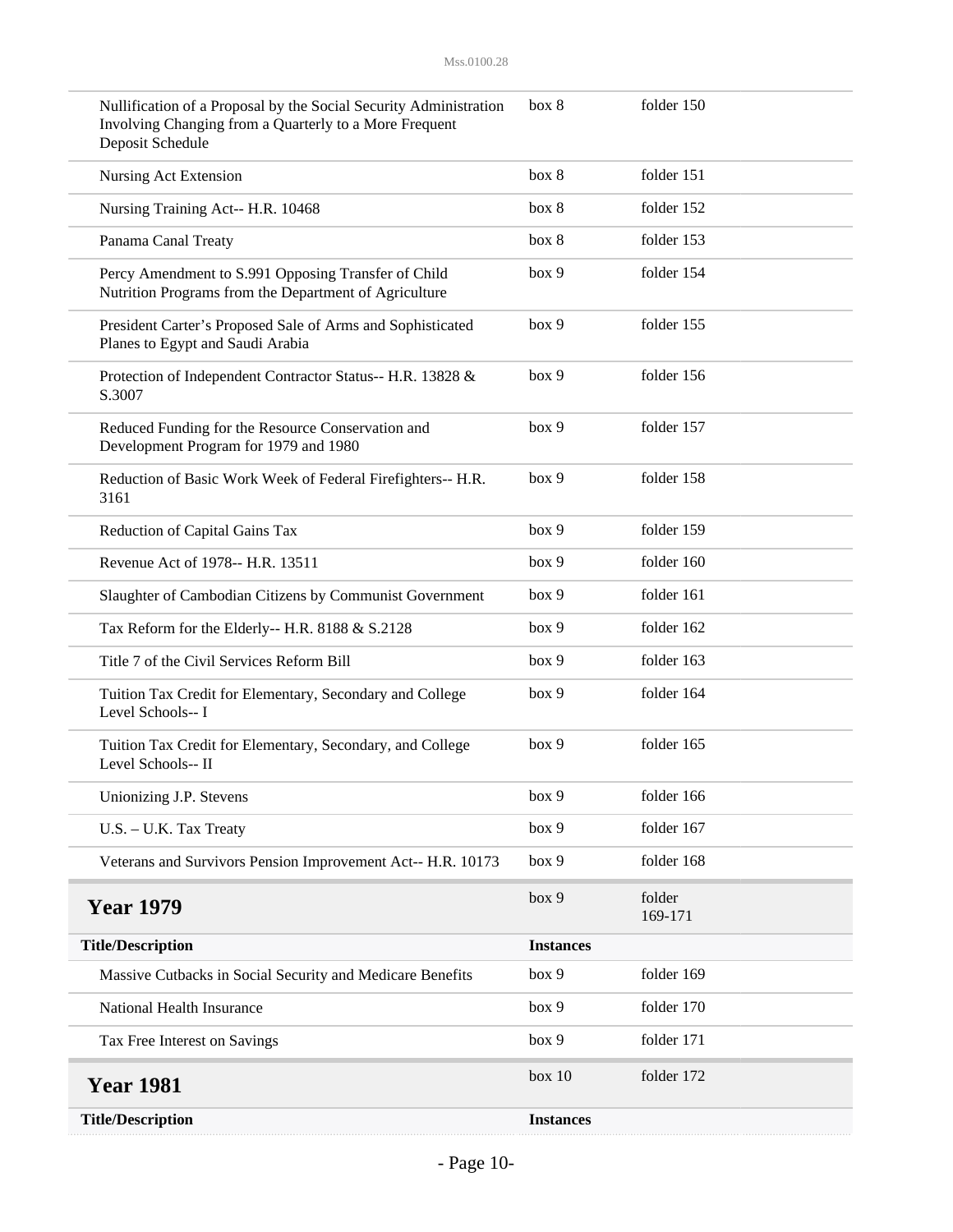| Nullification of a Proposal by the Social Security Administration<br>Involving Changing from a Quarterly to a More Frequent<br>Deposit Schedule | box 8            | folder 150        |
|-------------------------------------------------------------------------------------------------------------------------------------------------|------------------|-------------------|
| Nursing Act Extension                                                                                                                           | box 8            | folder 151        |
| Nursing Training Act-- H.R. 10468                                                                                                               | box 8            | folder 152        |
| Panama Canal Treaty                                                                                                                             | box 8            | folder 153        |
| Percy Amendment to S.991 Opposing Transfer of Child<br>Nutrition Programs from the Department of Agriculture                                    | box 9            | folder 154        |
| President Carter's Proposed Sale of Arms and Sophisticated<br>Planes to Egypt and Saudi Arabia                                                  | box 9            | folder 155        |
| Protection of Independent Contractor Status-- H.R. 13828 &<br>S.3007                                                                            | box 9            | folder 156        |
| Reduced Funding for the Resource Conservation and<br>Development Program for 1979 and 1980                                                      | box 9            | folder 157        |
| Reduction of Basic Work Week of Federal Firefighters-- H.R.<br>3161                                                                             | box 9            | folder 158        |
| Reduction of Capital Gains Tax                                                                                                                  | box 9            | folder 159        |
| Revenue Act of 1978-- H.R. 13511                                                                                                                | box 9            | folder 160        |
| Slaughter of Cambodian Citizens by Communist Government                                                                                         | box 9            | folder 161        |
| Tax Reform for the Elderly-- H.R. 8188 & S.2128                                                                                                 | box 9            | folder 162        |
| Title 7 of the Civil Services Reform Bill                                                                                                       | box 9            | folder 163        |
| Tuition Tax Credit for Elementary, Secondary and College<br>Level Schools-- I                                                                   | box 9            | folder 164        |
| Tuition Tax Credit for Elementary, Secondary, and College<br>Level Schools-- II                                                                 | box 9            | folder 165        |
| Unionizing J.P. Stevens                                                                                                                         | box 9            | folder 166        |
| U.S. - U.K. Tax Treaty                                                                                                                          | box 9            | folder 167        |
| Veterans and Survivors Pension Improvement Act-- H.R. 10173                                                                                     | box 9            | folder 168        |
| <b>Year 1979</b>                                                                                                                                | box 9            | folder<br>169-171 |
| <b>Title/Description</b>                                                                                                                        | <b>Instances</b> |                   |
| Massive Cutbacks in Social Security and Medicare Benefits                                                                                       | box 9            | folder 169        |
| National Health Insurance                                                                                                                       | box 9            | folder 170        |
| Tax Free Interest on Savings                                                                                                                    | box 9            | folder 171        |
| <b>Year 1981</b>                                                                                                                                | box 10           | folder 172        |
| <b>Title/Description</b>                                                                                                                        | <b>Instances</b> |                   |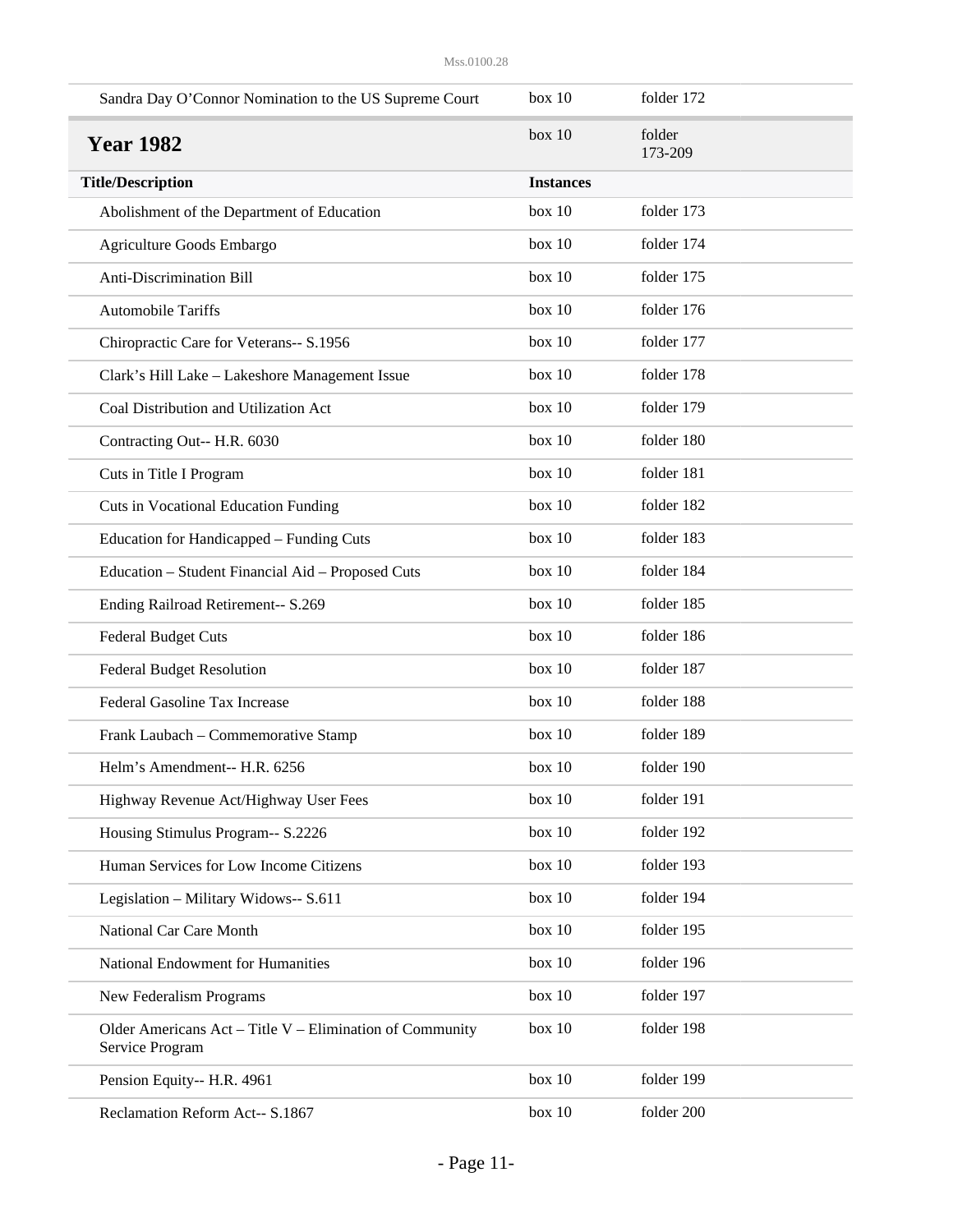| Sandra Day O'Connor Nomination to the US Supreme Court                      | box 10           | folder 172        |
|-----------------------------------------------------------------------------|------------------|-------------------|
| <b>Year 1982</b>                                                            | box 10           | folder<br>173-209 |
| <b>Title/Description</b>                                                    | <b>Instances</b> |                   |
| Abolishment of the Department of Education                                  | box 10           | folder 173        |
| Agriculture Goods Embargo                                                   | box 10           | folder 174        |
| Anti-Discrimination Bill                                                    | box 10           | folder 175        |
| <b>Automobile Tariffs</b>                                                   | box 10           | folder 176        |
| Chiropractic Care for Veterans-- S.1956                                     | box 10           | folder 177        |
| Clark's Hill Lake - Lakeshore Management Issue                              | box 10           | folder 178        |
| Coal Distribution and Utilization Act                                       | box 10           | folder 179        |
| Contracting Out-- H.R. 6030                                                 | box 10           | folder 180        |
| Cuts in Title I Program                                                     | box 10           | folder 181        |
| Cuts in Vocational Education Funding                                        | box 10           | folder 182        |
| Education for Handicapped - Funding Cuts                                    | box 10           | folder 183        |
| Education - Student Financial Aid - Proposed Cuts                           | box 10           | folder 184        |
| Ending Railroad Retirement-- S.269                                          | box 10           | folder 185        |
| <b>Federal Budget Cuts</b>                                                  | box 10           | folder 186        |
| <b>Federal Budget Resolution</b>                                            | box 10           | folder 187        |
| Federal Gasoline Tax Increase                                               | box 10           | folder 188        |
| Frank Laubach - Commemorative Stamp                                         | box 10           | folder 189        |
| Helm's Amendment-- H.R. 6256                                                | box 10           | folder 190        |
| Highway Revenue Act/Highway User Fees                                       | box 10           | folder 191        |
| Housing Stimulus Program-- S.2226                                           | box 10           | folder 192        |
| Human Services for Low Income Citizens                                      | box 10           | folder 193        |
| Legislation - Military Widows-- S.611                                       | box 10           | folder 194        |
| National Car Care Month                                                     | box 10           | folder 195        |
| National Endowment for Humanities                                           | box 10           | folder 196        |
| New Federalism Programs                                                     | box 10           | folder 197        |
| Older Americans Act - Title V - Elimination of Community<br>Service Program | box 10           | folder 198        |
| Pension Equity-- H.R. 4961                                                  | box 10           | folder 199        |
| Reclamation Reform Act-- S.1867                                             | box 10           | folder 200        |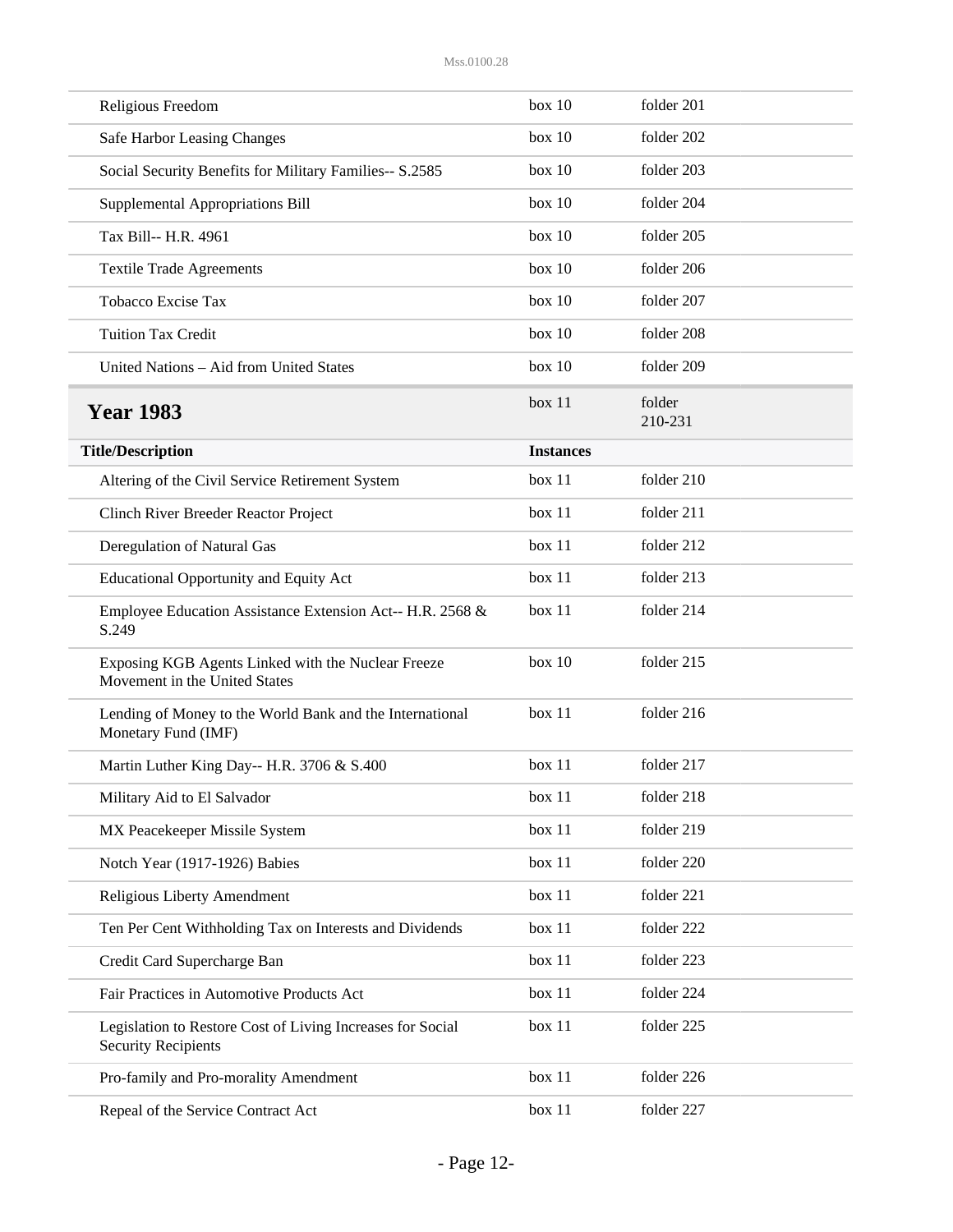| Religious Freedom                                                                        | box 10           | folder 201        |
|------------------------------------------------------------------------------------------|------------------|-------------------|
| Safe Harbor Leasing Changes                                                              | box 10           | folder 202        |
| Social Security Benefits for Military Families-- S.2585                                  | box 10           | folder 203        |
| Supplemental Appropriations Bill                                                         | box 10           | folder 204        |
| Tax Bill-- H.R. 4961                                                                     | box 10           | folder 205        |
| <b>Textile Trade Agreements</b>                                                          | box 10           | folder 206        |
| <b>Tobacco Excise Tax</b>                                                                | box 10           | folder 207        |
| <b>Tuition Tax Credit</b>                                                                | box 10           | folder 208        |
| United Nations - Aid from United States                                                  | box 10           | folder 209        |
| <b>Year 1983</b>                                                                         | box 11           | folder<br>210-231 |
| <b>Title/Description</b>                                                                 | <b>Instances</b> |                   |
| Altering of the Civil Service Retirement System                                          | box 11           | folder 210        |
| Clinch River Breeder Reactor Project                                                     | box 11           | folder 211        |
| Deregulation of Natural Gas                                                              | box 11           | folder 212        |
| <b>Educational Opportunity and Equity Act</b>                                            | box 11           | folder 213        |
| Employee Education Assistance Extension Act-- H.R. 2568 &<br>S.249                       | box 11           | folder 214        |
| Exposing KGB Agents Linked with the Nuclear Freeze<br>Movement in the United States      | box 10           | folder 215        |
| Lending of Money to the World Bank and the International<br>Monetary Fund (IMF)          | box 11           | folder 216        |
| Martin Luther King Day-- H.R. 3706 & S.400                                               | box 11           | folder 217        |
| Military Aid to El Salvador                                                              | box 11           | folder 218        |
| MX Peacekeeper Missile System                                                            | box 11           | folder 219        |
| Notch Year (1917-1926) Babies                                                            | box 11           | folder 220        |
| Religious Liberty Amendment                                                              | box 11           | folder 221        |
| Ten Per Cent Withholding Tax on Interests and Dividends                                  | box 11           | folder 222        |
| Credit Card Supercharge Ban                                                              | box 11           | folder 223        |
| Fair Practices in Automotive Products Act                                                | box 11           | folder 224        |
| Legislation to Restore Cost of Living Increases for Social<br><b>Security Recipients</b> | box 11           | folder 225        |
| Pro-family and Pro-morality Amendment                                                    | box 11           | folder 226        |
| Repeal of the Service Contract Act                                                       | box 11           | folder 227        |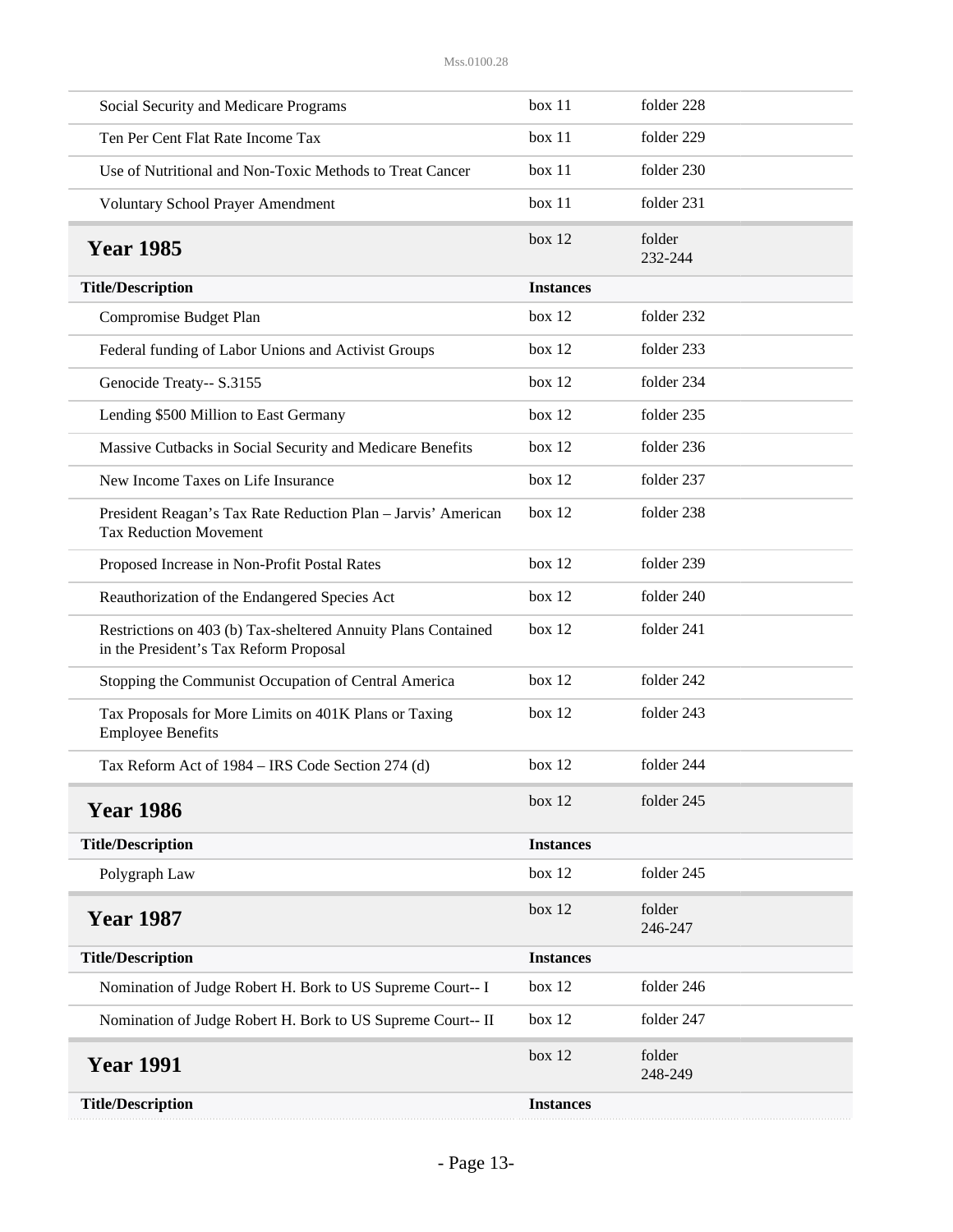| Social Security and Medicare Programs                                                                   | box 11           | folder 228        |
|---------------------------------------------------------------------------------------------------------|------------------|-------------------|
| Ten Per Cent Flat Rate Income Tax                                                                       | box 11           | folder 229        |
| Use of Nutritional and Non-Toxic Methods to Treat Cancer                                                | box 11           | folder 230        |
| <b>Voluntary School Prayer Amendment</b>                                                                | box 11           | folder 231        |
| <b>Year 1985</b>                                                                                        | box $12$         | folder<br>232-244 |
| <b>Title/Description</b>                                                                                | <b>Instances</b> |                   |
| Compromise Budget Plan                                                                                  | box 12           | folder 232        |
| Federal funding of Labor Unions and Activist Groups                                                     | box 12           | folder 233        |
| Genocide Treaty-- S.3155                                                                                | box 12           | folder 234        |
| Lending \$500 Million to East Germany                                                                   | box 12           | folder 235        |
| Massive Cutbacks in Social Security and Medicare Benefits                                               | box 12           | folder 236        |
| New Income Taxes on Life Insurance                                                                      | box 12           | folder 237        |
| President Reagan's Tax Rate Reduction Plan - Jarvis' American<br><b>Tax Reduction Movement</b>          | box 12           | folder 238        |
| Proposed Increase in Non-Profit Postal Rates                                                            | box 12           | folder 239        |
| Reauthorization of the Endangered Species Act                                                           | box 12           | folder 240        |
| Restrictions on 403 (b) Tax-sheltered Annuity Plans Contained<br>in the President's Tax Reform Proposal | box 12           | folder 241        |
| Stopping the Communist Occupation of Central America                                                    | box 12           | folder 242        |
| Tax Proposals for More Limits on 401K Plans or Taxing<br><b>Employee Benefits</b>                       | box 12           | folder 243        |
| Tax Reform Act of 1984 – IRS Code Section 274 (d)                                                       | box 12           | folder 244        |
| <b>Year 1986</b>                                                                                        | box $12$         | folder 245        |
| <b>Title/Description</b>                                                                                | <b>Instances</b> |                   |
| Polygraph Law                                                                                           | box 12           | folder 245        |
| <b>Year 1987</b>                                                                                        | box 12           | folder<br>246-247 |
| <b>Title/Description</b>                                                                                | <b>Instances</b> |                   |
| Nomination of Judge Robert H. Bork to US Supreme Court-- I                                              | box 12           | folder 246        |
| Nomination of Judge Robert H. Bork to US Supreme Court-- II                                             | box 12           | folder 247        |
| <b>Year 1991</b>                                                                                        | box 12           | folder<br>248-249 |
| <b>Title/Description</b>                                                                                | <b>Instances</b> |                   |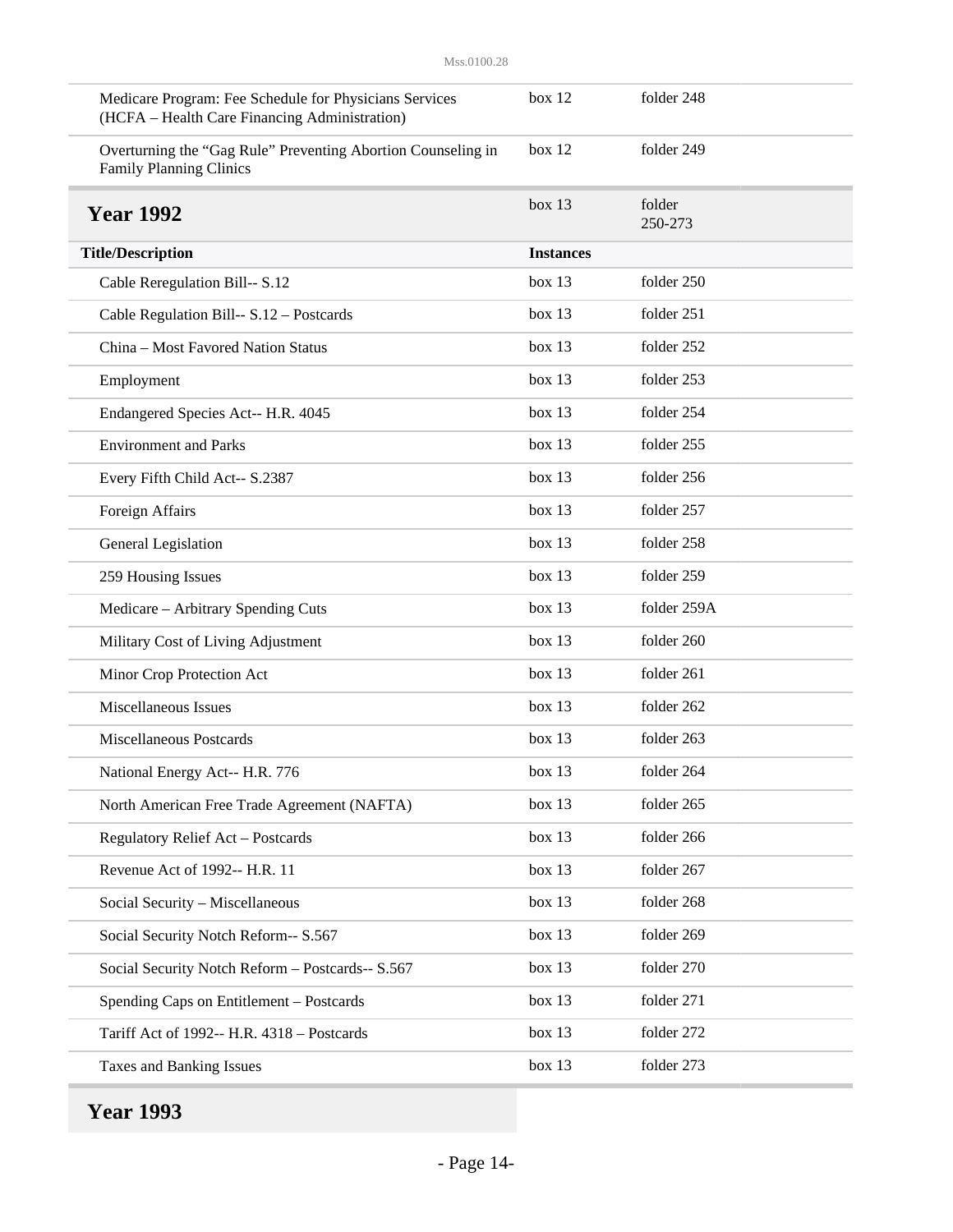| Medicare Program: Fee Schedule for Physicians Services                                         | box 12           | folder 248        |
|------------------------------------------------------------------------------------------------|------------------|-------------------|
| (HCFA - Health Care Financing Administration)                                                  |                  |                   |
| Overturning the "Gag Rule" Preventing Abortion Counseling in<br><b>Family Planning Clinics</b> | box 12           | folder 249        |
| <b>Year 1992</b>                                                                               | box 13           | folder<br>250-273 |
| <b>Title/Description</b>                                                                       | <b>Instances</b> |                   |
| Cable Reregulation Bill-- S.12                                                                 | box 13           | folder 250        |
| Cable Regulation Bill-- S.12 - Postcards                                                       | box 13           | folder 251        |
| China - Most Favored Nation Status                                                             | box 13           | folder 252        |
| Employment                                                                                     | box 13           | folder 253        |
| Endangered Species Act-- H.R. 4045                                                             | box 13           | folder 254        |
| <b>Environment</b> and Parks                                                                   | box 13           | folder 255        |
| Every Fifth Child Act-- S.2387                                                                 | box 13           | folder 256        |
| Foreign Affairs                                                                                | box 13           | folder 257        |
| General Legislation                                                                            | box 13           | folder 258        |
| 259 Housing Issues                                                                             | box 13           | folder 259        |
| Medicare - Arbitrary Spending Cuts                                                             | box 13           | folder 259A       |
| Military Cost of Living Adjustment                                                             | box 13           | folder 260        |
| Minor Crop Protection Act                                                                      | box 13           | folder 261        |
| Miscellaneous Issues                                                                           | box 13           | folder 262        |
| <b>Miscellaneous Postcards</b>                                                                 | box 13           | folder 263        |
| National Energy Act-- H.R. 776                                                                 | box 13           | folder 264        |
| North American Free Trade Agreement (NAFTA)                                                    | box 13           | folder 265        |
| Regulatory Relief Act - Postcards                                                              | box 13           | folder 266        |
| Revenue Act of 1992-- H.R. 11                                                                  | box 13           | folder 267        |
| Social Security - Miscellaneous                                                                | box 13           | folder 268        |
| Social Security Notch Reform-- S.567                                                           | box 13           | folder 269        |
| Social Security Notch Reform - Postcards-- S.567                                               | box 13           | folder 270        |
| Spending Caps on Entitlement - Postcards                                                       | box 13           | folder 271        |
| Tariff Act of 1992-- H.R. 4318 - Postcards                                                     | box 13           | folder 272        |
| Taxes and Banking Issues                                                                       | box 13           | folder 273        |
|                                                                                                |                  |                   |

**Year 1993**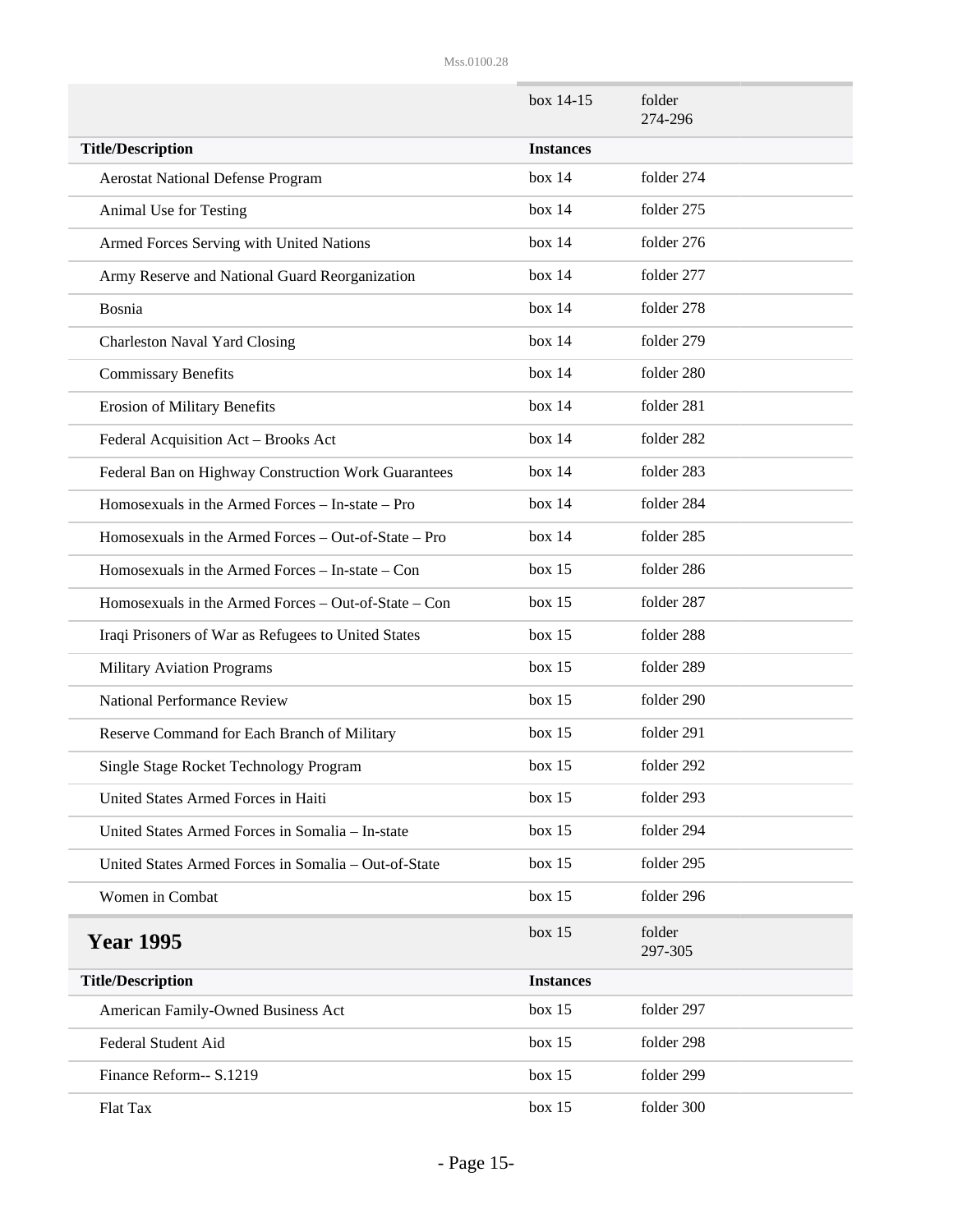|                                                      | box 14-15        | folder<br>274-296 |
|------------------------------------------------------|------------------|-------------------|
| <b>Title/Description</b>                             | <b>Instances</b> |                   |
| <b>Aerostat National Defense Program</b>             | box 14           | folder 274        |
| Animal Use for Testing                               | box 14           | folder 275        |
| Armed Forces Serving with United Nations             | box 14           | folder 276        |
| Army Reserve and National Guard Reorganization       | box 14           | folder 277        |
| Bosnia                                               | box 14           | folder 278        |
| <b>Charleston Naval Yard Closing</b>                 | box 14           | folder 279        |
| <b>Commissary Benefits</b>                           | box 14           | folder 280        |
| <b>Erosion of Military Benefits</b>                  | box 14           | folder 281        |
| Federal Acquisition Act - Brooks Act                 | box 14           | folder 282        |
| Federal Ban on Highway Construction Work Guarantees  | box 14           | folder 283        |
| Homosexuals in the Armed Forces - In-state - Pro     | box 14           | folder 284        |
| Homosexuals in the Armed Forces - Out-of-State - Pro | box 14           | folder 285        |
| Homosexuals in the Armed Forces – In-state – Con     | box 15           | folder 286        |
| Homosexuals in the Armed Forces – Out-of-State – Con | box 15           | folder 287        |
| Iraqi Prisoners of War as Refugees to United States  | box 15           | folder 288        |
| <b>Military Aviation Programs</b>                    | box 15           | folder 289        |
| <b>National Performance Review</b>                   | box 15           | folder 290        |
| Reserve Command for Each Branch of Military          | box 15           | folder 291        |
| Single Stage Rocket Technology Program               | box 15           | folder 292        |
| United States Armed Forces in Haiti                  | box 15           | folder 293        |
| United States Armed Forces in Somalia - In-state     | box 15           | folder 294        |
| United States Armed Forces in Somalia - Out-of-State | box 15           | folder 295        |
| Women in Combat                                      | box 15           | folder 296        |
| <b>Year 1995</b>                                     | box 15           | folder<br>297-305 |
| <b>Title/Description</b>                             | <b>Instances</b> |                   |
| American Family-Owned Business Act                   | box 15           | folder 297        |
| Federal Student Aid                                  | box 15           | folder 298        |
| Finance Reform-- S.1219                              | box 15           | folder 299        |
| Flat Tax                                             | box 15           | folder 300        |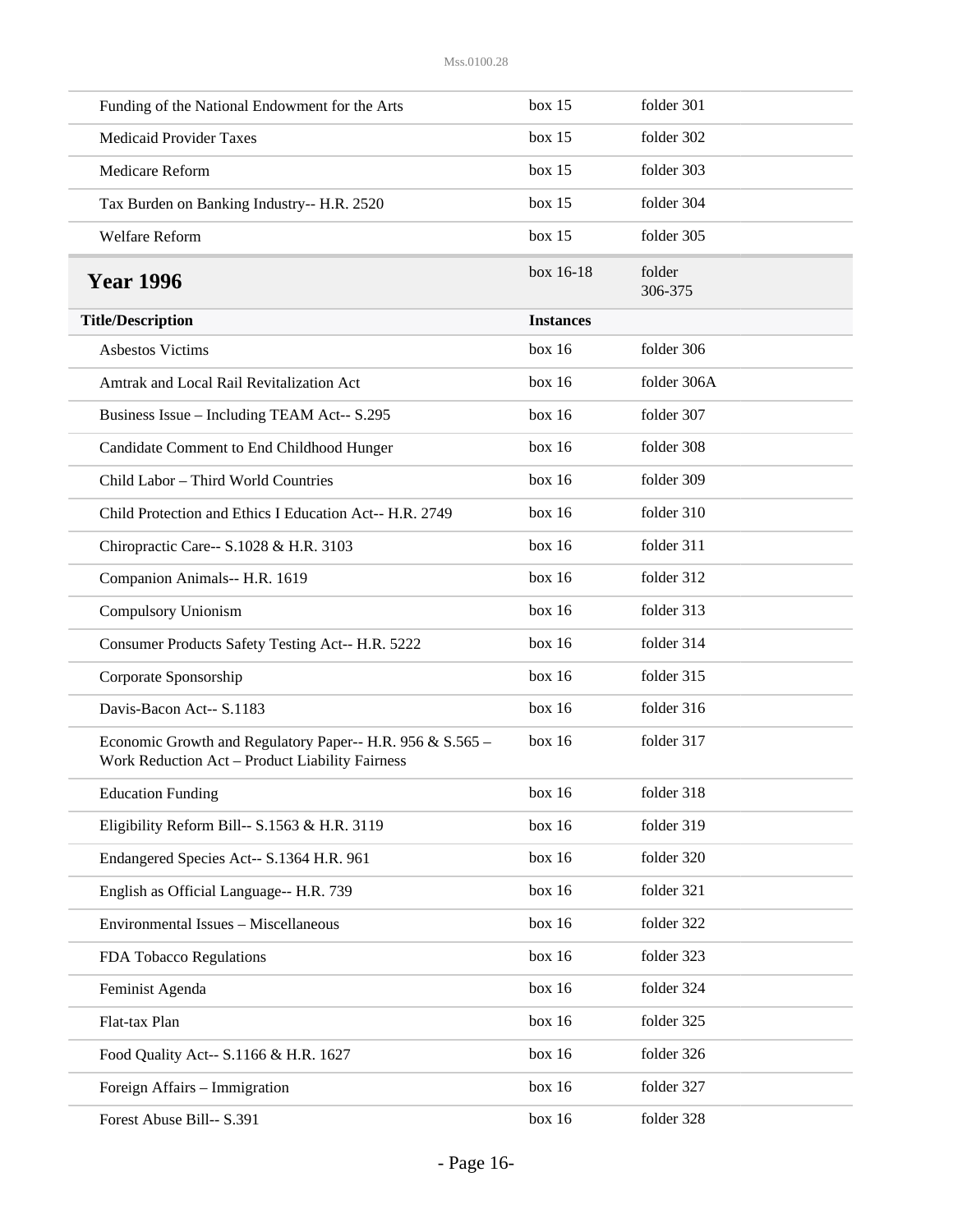| Funding of the National Endowment for the Arts                                                               | box 15           | folder 301        |
|--------------------------------------------------------------------------------------------------------------|------------------|-------------------|
| <b>Medicaid Provider Taxes</b>                                                                               | box 15           | folder 302        |
| Medicare Reform                                                                                              | box 15           | folder 303        |
| Tax Burden on Banking Industry-- H.R. 2520                                                                   | box 15           | folder 304        |
| Welfare Reform                                                                                               | box 15           | folder 305        |
| <b>Year 1996</b>                                                                                             | box 16-18        | folder<br>306-375 |
| <b>Title/Description</b>                                                                                     | <b>Instances</b> |                   |
| <b>Asbestos Victims</b>                                                                                      | box 16           | folder 306        |
| Amtrak and Local Rail Revitalization Act                                                                     | box 16           | folder 306A       |
| Business Issue - Including TEAM Act-- S.295                                                                  | box 16           | folder 307        |
| Candidate Comment to End Childhood Hunger                                                                    | box 16           | folder 308        |
| Child Labor - Third World Countries                                                                          | box 16           | folder 309        |
| Child Protection and Ethics I Education Act-- H.R. 2749                                                      | box 16           | folder 310        |
| Chiropractic Care-- S.1028 & H.R. 3103                                                                       | box 16           | folder 311        |
| Companion Animals-- H.R. 1619                                                                                | box 16           | folder 312        |
| Compulsory Unionism                                                                                          | box 16           | folder 313        |
| Consumer Products Safety Testing Act-- H.R. 5222                                                             | box 16           | folder 314        |
| Corporate Sponsorship                                                                                        | box 16           | folder 315        |
| Davis-Bacon Act-- S.1183                                                                                     | box 16           | folder 316        |
| Economic Growth and Regulatory Paper-- H.R. 956 & S.565 -<br>Work Reduction Act - Product Liability Fairness | box 16           | folder 317        |
| <b>Education Funding</b>                                                                                     | box 16           | folder 318        |
| Eligibility Reform Bill-- S.1563 & H.R. 3119                                                                 | box 16           | folder 319        |
| Endangered Species Act-- S.1364 H.R. 961                                                                     | box 16           | folder 320        |
| English as Official Language-- H.R. 739                                                                      | box 16           | folder 321        |
| Environmental Issues - Miscellaneous                                                                         | box 16           | folder 322        |
| FDA Tobacco Regulations                                                                                      | box 16           | folder 323        |
| Feminist Agenda                                                                                              | box 16           | folder 324        |
| Flat-tax Plan                                                                                                | box 16           | folder 325        |
| Food Quality Act-- S.1166 & H.R. 1627                                                                        | box 16           | folder 326        |
| Foreign Affairs - Immigration                                                                                | box 16           | folder 327        |
| Forest Abuse Bill-- S.391                                                                                    | box 16           | folder 328        |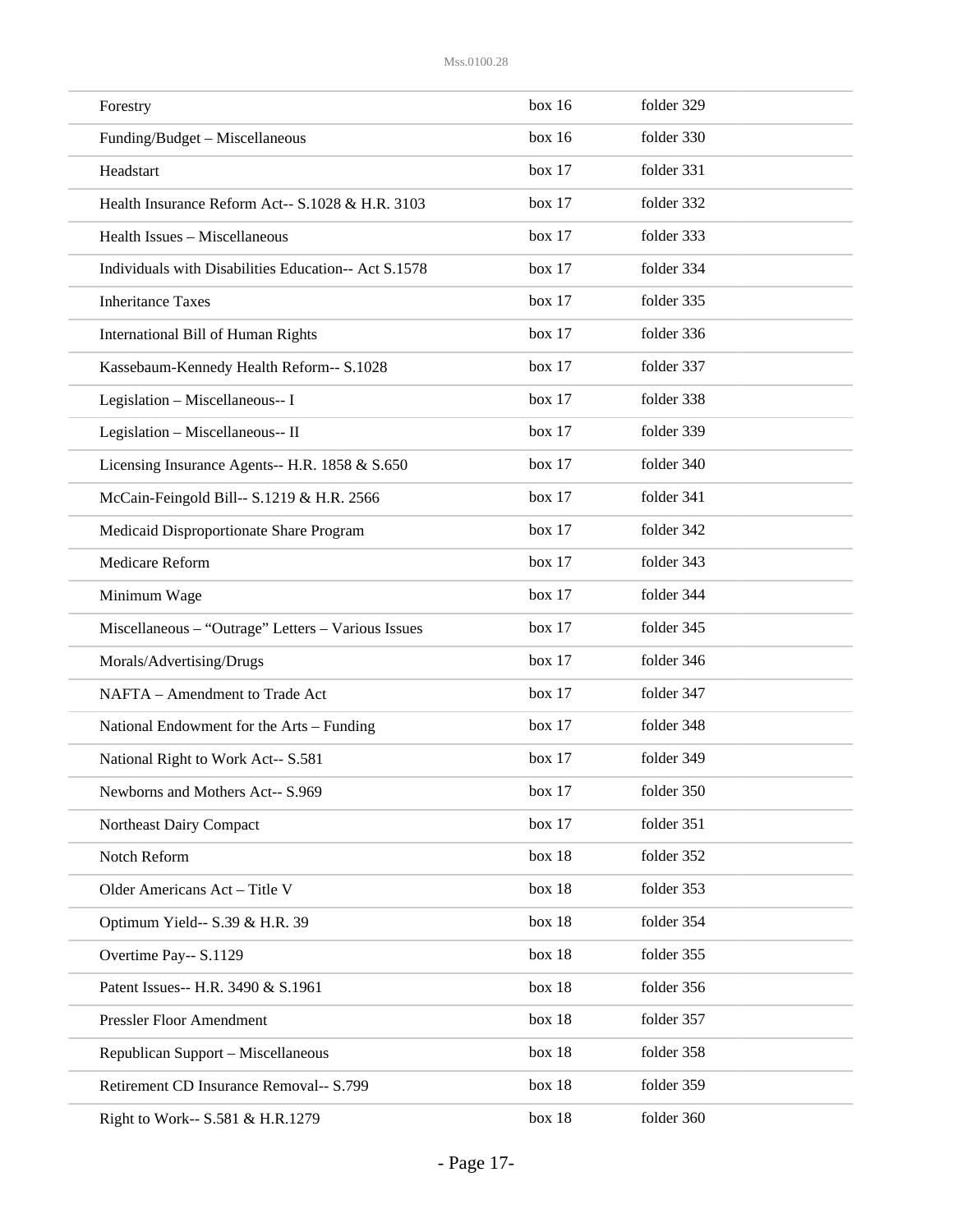| Forestry                                             | box 16 | folder 329 |
|------------------------------------------------------|--------|------------|
| Funding/Budget - Miscellaneous                       | box 16 | folder 330 |
| Headstart                                            | box 17 | folder 331 |
| Health Insurance Reform Act-- S.1028 & H.R. 3103     | box 17 | folder 332 |
| Health Issues - Miscellaneous                        | box 17 | folder 333 |
| Individuals with Disabilities Education-- Act S.1578 | box 17 | folder 334 |
| <b>Inheritance Taxes</b>                             | box 17 | folder 335 |
| International Bill of Human Rights                   | box 17 | folder 336 |
| Kassebaum-Kennedy Health Reform-- S.1028             | box 17 | folder 337 |
| Legislation - Miscellaneous-- I                      | box 17 | folder 338 |
| Legislation - Miscellaneous-- II                     | box 17 | folder 339 |
| Licensing Insurance Agents-- H.R. 1858 & S.650       | box 17 | folder 340 |
| McCain-Feingold Bill-- S.1219 & H.R. 2566            | box 17 | folder 341 |
| Medicaid Disproportionate Share Program              | box 17 | folder 342 |
| Medicare Reform                                      | box 17 | folder 343 |
| Minimum Wage                                         | box 17 | folder 344 |
| Miscellaneous - "Outrage" Letters - Various Issues   | box 17 | folder 345 |
| Morals/Advertising/Drugs                             | box 17 | folder 346 |
| NAFTA - Amendment to Trade Act                       | box 17 | folder 347 |
| National Endowment for the Arts – Funding            | box 17 | folder 348 |
| National Right to Work Act-- S.581                   | box 17 | folder 349 |
| Newborns and Mothers Act-- S.969                     | box 17 | folder 350 |
| Northeast Dairy Compact                              | box 17 | folder 351 |
| Notch Reform                                         | box 18 | folder 352 |
| Older Americans Act - Title V                        | box 18 | folder 353 |
| Optimum Yield-- S.39 & H.R. 39                       | box 18 | folder 354 |
| Overtime Pay-- S.1129                                | box 18 | folder 355 |
| Patent Issues-- H.R. 3490 & S.1961                   | box 18 | folder 356 |
| Pressler Floor Amendment                             | box 18 | folder 357 |
| Republican Support - Miscellaneous                   | box 18 | folder 358 |
| Retirement CD Insurance Removal-- S.799              | box 18 | folder 359 |
| Right to Work-- S.581 & H.R.1279                     | box 18 | folder 360 |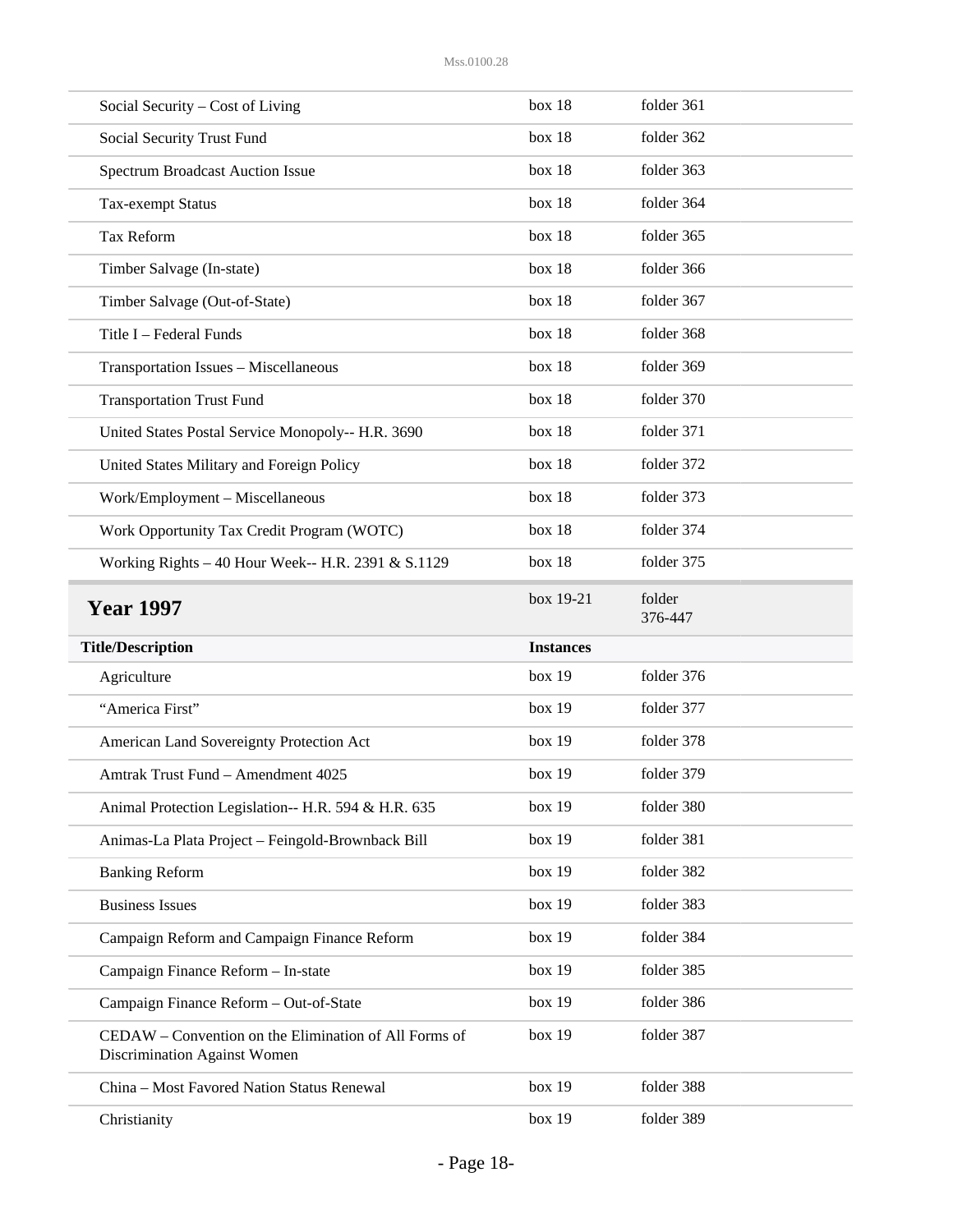| Social Security – Cost of Living                                                      | box 18           | folder 361        |
|---------------------------------------------------------------------------------------|------------------|-------------------|
| Social Security Trust Fund                                                            | box 18           | folder 362        |
| <b>Spectrum Broadcast Auction Issue</b>                                               | box 18           | folder 363        |
| Tax-exempt Status                                                                     | box 18           | folder 364        |
| Tax Reform                                                                            | box 18           | folder 365        |
| Timber Salvage (In-state)                                                             | box 18           | folder 366        |
| Timber Salvage (Out-of-State)                                                         | box 18           | folder 367        |
| Title I - Federal Funds                                                               | box 18           | folder 368        |
| Transportation Issues - Miscellaneous                                                 | box 18           | folder 369        |
| <b>Transportation Trust Fund</b>                                                      | box 18           | folder 370        |
| United States Postal Service Monopoly-- H.R. 3690                                     | box 18           | folder 371        |
| United States Military and Foreign Policy                                             | box 18           | folder 372        |
| Work/Employment - Miscellaneous                                                       | box 18           | folder 373        |
| Work Opportunity Tax Credit Program (WOTC)                                            | box 18           | folder 374        |
| Working Rights - 40 Hour Week-- H.R. 2391 & S.1129                                    | box 18           | folder 375        |
| <b>Year 1997</b>                                                                      | box 19-21        | folder<br>376-447 |
| <b>Title/Description</b>                                                              | <b>Instances</b> |                   |
|                                                                                       |                  |                   |
| Agriculture                                                                           | box 19           | folder 376        |
| "America First"                                                                       | box 19           | folder 377        |
| American Land Sovereignty Protection Act                                              | box 19           | folder 378        |
| Amtrak Trust Fund - Amendment 4025                                                    | box 19           | folder 379        |
| Animal Protection Legislation-- H.R. 594 & H.R. 635                                   | box 19           | folder 380        |
| Animas-La Plata Project - Feingold-Brownback Bill                                     | box 19           | folder 381        |
| <b>Banking Reform</b>                                                                 | box 19           | folder 382        |
| <b>Business Issues</b>                                                                | box 19           | folder 383        |
| Campaign Reform and Campaign Finance Reform                                           | box 19           | folder 384        |
| Campaign Finance Reform - In-state                                                    | box 19           | folder 385        |
| Campaign Finance Reform - Out-of-State                                                | box 19           | folder 386        |
| CEDAW – Convention on the Elimination of All Forms of<br>Discrimination Against Women | box 19           | folder 387        |
| China - Most Favored Nation Status Renewal                                            | box 19           | folder 388        |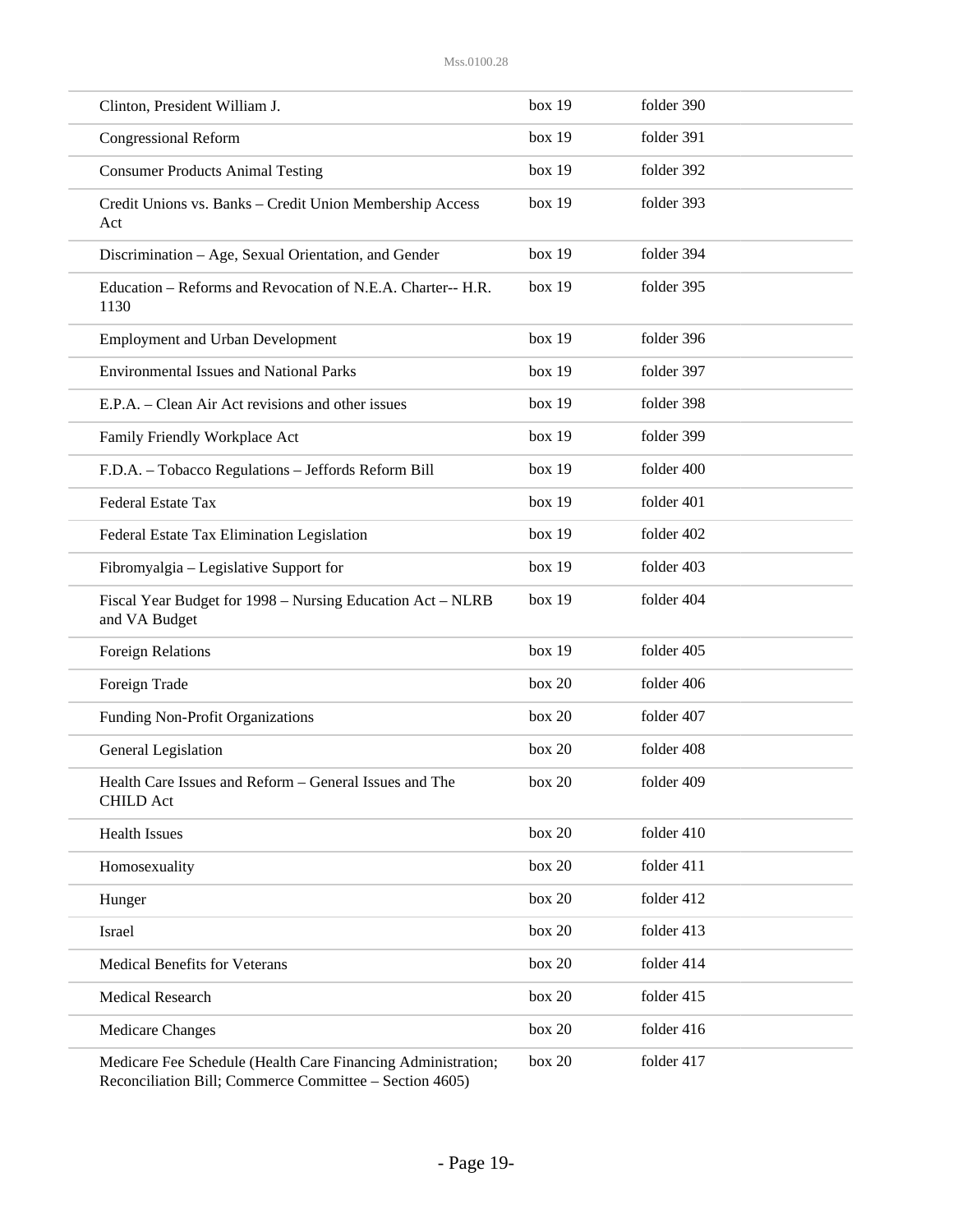| Clinton, President William J.                                                                                           | box 19 | folder 390 |
|-------------------------------------------------------------------------------------------------------------------------|--------|------------|
| <b>Congressional Reform</b>                                                                                             | box 19 | folder 391 |
| <b>Consumer Products Animal Testing</b>                                                                                 | box 19 | folder 392 |
| Credit Unions vs. Banks - Credit Union Membership Access<br>Act                                                         | box 19 | folder 393 |
| Discrimination - Age, Sexual Orientation, and Gender                                                                    | box 19 | folder 394 |
| Education - Reforms and Revocation of N.E.A. Charter-- H.R.<br>1130                                                     | box 19 | folder 395 |
| <b>Employment and Urban Development</b>                                                                                 | box 19 | folder 396 |
| <b>Environmental Issues and National Parks</b>                                                                          | box 19 | folder 397 |
| E.P.A. – Clean Air Act revisions and other issues                                                                       | box 19 | folder 398 |
| Family Friendly Workplace Act                                                                                           | box 19 | folder 399 |
| F.D.A. - Tobacco Regulations - Jeffords Reform Bill                                                                     | box 19 | folder 400 |
| Federal Estate Tax                                                                                                      | box 19 | folder 401 |
| Federal Estate Tax Elimination Legislation                                                                              | box 19 | folder 402 |
| Fibromyalgia - Legislative Support for                                                                                  | box 19 | folder 403 |
| Fiscal Year Budget for 1998 – Nursing Education Act – NLRB<br>and VA Budget                                             | box 19 | folder 404 |
| <b>Foreign Relations</b>                                                                                                | box 19 | folder 405 |
| Foreign Trade                                                                                                           | box 20 | folder 406 |
| Funding Non-Profit Organizations                                                                                        | box 20 | folder 407 |
| General Legislation                                                                                                     | box 20 | folder 408 |
| Health Care Issues and Reform – General Issues and The<br><b>CHILD Act</b>                                              | box 20 | folder 409 |
| <b>Health Issues</b>                                                                                                    | box 20 | folder 410 |
| Homosexuality                                                                                                           | box 20 | folder 411 |
| Hunger                                                                                                                  | box 20 | folder 412 |
| Israel                                                                                                                  | box 20 | folder 413 |
| <b>Medical Benefits for Veterans</b>                                                                                    | box 20 | folder 414 |
| <b>Medical Research</b>                                                                                                 | box 20 | folder 415 |
| Medicare Changes                                                                                                        | box 20 | folder 416 |
| Medicare Fee Schedule (Health Care Financing Administration;<br>Reconciliation Bill; Commerce Committee - Section 4605) | box 20 | folder 417 |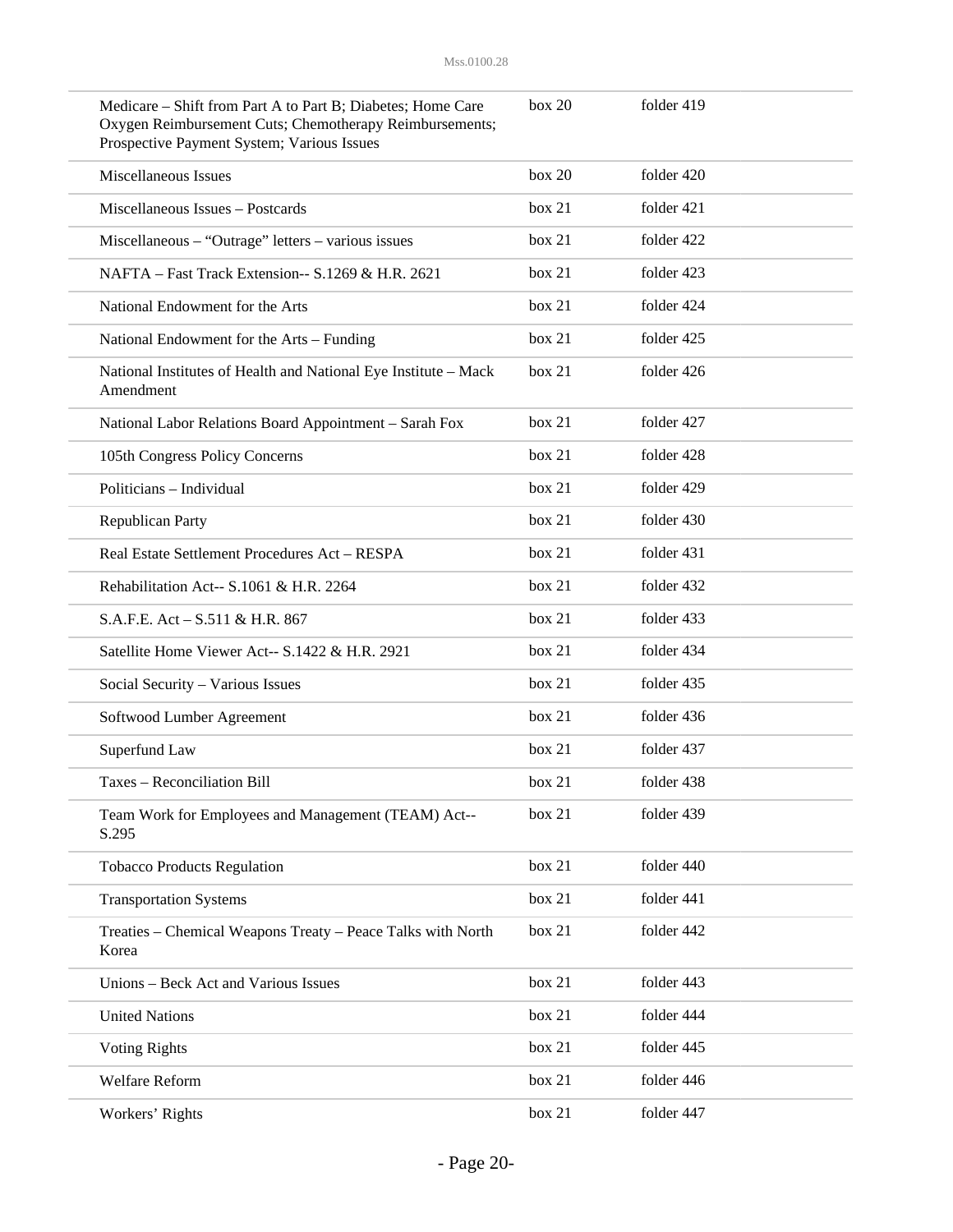| Medicare – Shift from Part A to Part B; Diabetes; Home Care<br>Oxygen Reimbursement Cuts; Chemotherapy Reimbursements;<br>Prospective Payment System; Various Issues | box 20 | folder 419 |
|----------------------------------------------------------------------------------------------------------------------------------------------------------------------|--------|------------|
| Miscellaneous Issues                                                                                                                                                 | box 20 | folder 420 |
| Miscellaneous Issues - Postcards                                                                                                                                     | box 21 | folder 421 |
| $Miscellaneous - "Outrage" letters - various issues$                                                                                                                 | box 21 | folder 422 |
| NAFTA - Fast Track Extension-- S.1269 & H.R. 2621                                                                                                                    | box 21 | folder 423 |
| National Endowment for the Arts                                                                                                                                      | box 21 | folder 424 |
| National Endowment for the Arts - Funding                                                                                                                            | box 21 | folder 425 |
| National Institutes of Health and National Eye Institute - Mack<br>Amendment                                                                                         | box 21 | folder 426 |
| National Labor Relations Board Appointment - Sarah Fox                                                                                                               | box 21 | folder 427 |
| 105th Congress Policy Concerns                                                                                                                                       | box 21 | folder 428 |
| Politicians - Individual                                                                                                                                             | box 21 | folder 429 |
| <b>Republican Party</b>                                                                                                                                              | box 21 | folder 430 |
| Real Estate Settlement Procedures Act - RESPA                                                                                                                        | box 21 | folder 431 |
| Rehabilitation Act-- S.1061 & H.R. 2264                                                                                                                              | box 21 | folder 432 |
| S.A.F.E. Act – S.511 & H.R. 867                                                                                                                                      | box 21 | folder 433 |
| Satellite Home Viewer Act-- S.1422 & H.R. 2921                                                                                                                       | box 21 | folder 434 |
| Social Security - Various Issues                                                                                                                                     | box 21 | folder 435 |
| Softwood Lumber Agreement                                                                                                                                            | box 21 | folder 436 |
| Superfund Law                                                                                                                                                        | box 21 | folder 437 |
| Taxes - Reconciliation Bill                                                                                                                                          | box 21 | folder 438 |
| Team Work for Employees and Management (TEAM) Act--<br>S.295                                                                                                         | box 21 | folder 439 |
| <b>Tobacco Products Regulation</b>                                                                                                                                   | box 21 | folder 440 |
| <b>Transportation Systems</b>                                                                                                                                        | box 21 | folder 441 |
| Treaties - Chemical Weapons Treaty - Peace Talks with North<br>Korea                                                                                                 | box 21 | folder 442 |
| Unions - Beck Act and Various Issues                                                                                                                                 | box 21 | folder 443 |
| <b>United Nations</b>                                                                                                                                                | box 21 | folder 444 |
| <b>Voting Rights</b>                                                                                                                                                 | box 21 | folder 445 |
| Welfare Reform                                                                                                                                                       | box 21 | folder 446 |
| Workers' Rights                                                                                                                                                      | box 21 | folder 447 |